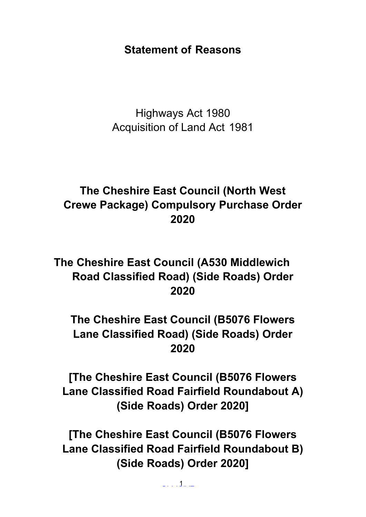# **Statement of Reasons**

Highways Act 1980 Acquisition of Land Act 1981

# **The Cheshire East Council (North West Crewe Package) Compulsory Purchase Order 2020**

**The Cheshire East Council (A530 Middlewich Road Classified Road) (Side Roads) Order 2020**

**The Cheshire East Council (B5076 Flowers Lane Classified Road) (Side Roads) Order 2020**

**[The Cheshire East Council (B5076 Flowers Lane Classified Road Fairfield Roundabout A) (Side Roads) Order 2020]**

**[The Cheshire East Council (B5076 Flowers Lane Classified Road Fairfield Roundabout B) (Side Roads) Order 2020]**

OFFICIAL 1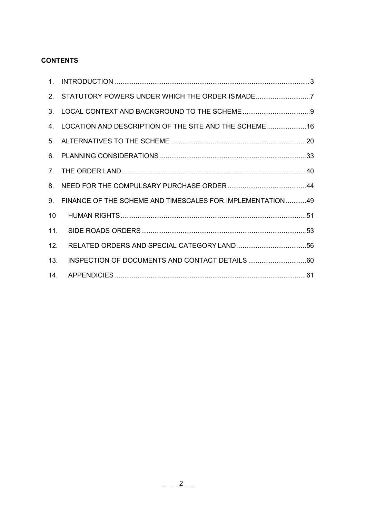# **CONTENTS**

|     | 2. STATUTORY POWERS UNDER WHICH THE ORDER IS MADE7            |  |
|-----|---------------------------------------------------------------|--|
|     |                                                               |  |
|     | 4. LOCATION AND DESCRIPTION OF THE SITE AND THE SCHEME 16     |  |
|     |                                                               |  |
|     |                                                               |  |
|     |                                                               |  |
|     |                                                               |  |
|     | 9. FINANCE OF THE SCHEME AND TIMESCALES FOR IMPLEMENTATION 49 |  |
| 10  |                                                               |  |
|     |                                                               |  |
| 12. |                                                               |  |
| 13. |                                                               |  |
|     |                                                               |  |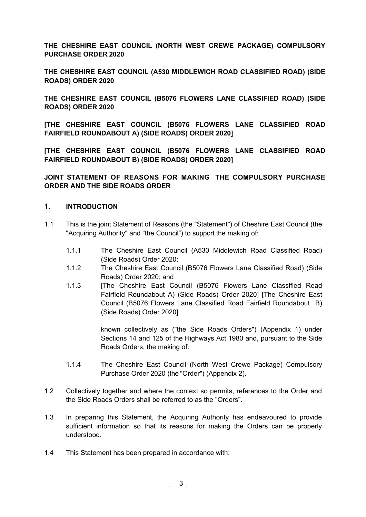**THE CHESHIRE EAST COUNCIL (NORTH WEST CREWE PACKAGE) COMPULSORY PURCHASE ORDER 2020**

**THE CHESHIRE EAST COUNCIL (A530 MIDDLEWICH ROAD CLASSIFIED ROAD) (SIDE ROADS) ORDER 2020**

**THE CHESHIRE EAST COUNCIL (B5076 FLOWERS LANE CLASSIFIED ROAD) (SIDE ROADS) ORDER 2020**

**[THE CHESHIRE EAST COUNCIL (B5076 FLOWERS LANE CLASSIFIED ROAD FAIRFIELD ROUNDABOUT A) (SIDE ROADS) ORDER 2020]**

**[THE CHESHIRE EAST COUNCIL (B5076 FLOWERS LANE CLASSIFIED ROAD FAIRFIELD ROUNDABOUT B) (SIDE ROADS) ORDER 2020]**

**JOINT STATEMENT OF REASONS FOR MAKING THE COMPULSORY PURCHASE ORDER AND THE SIDE ROADS ORDER**

# <span id="page-2-0"></span>**1. INTRODUCTION**

- 1.1 This is the joint Statement of Reasons (the "Statement") of Cheshire East Council (the "Acquiring Authority" and "the Council") to support the making of:
	- 1.1.1 The Cheshire East Council (A530 Middlewich Road Classified Road) (Side Roads) Order 2020;
	- 1.1.2 The Cheshire East Council (B5076 Flowers Lane Classified Road) (Side Roads) Order 2020; and
	- 1.1.3 [The Cheshire East Council (B5076 Flowers Lane Classified Road Fairfield Roundabout A) (Side Roads) Order 2020] [The Cheshire East Council (B5076 Flowers Lane Classified Road Fairfield Roundabout B) (Side Roads) Order 2020]

known collectively as ("the Side Roads Orders") (Appendix 1) under Sections 14 and 125 of the Highways Act 1980 and, pursuant to the Side Roads Orders, the making of:

- 1.1.4 The Cheshire East Council (North West Crewe Package) Compulsory Purchase Order 2020 (the "Order") (Appendix 2).
- 1.2 Collectively together and where the context so permits, references to the Order and the Side Roads Orders shall be referred to as the "Orders".
- 1.3 In preparing this Statement, the Acquiring Authority has endeavoured to provide sufficient information so that its reasons for making the Orders can be properly understood.
- 1.4 This Statement has been prepared in accordance with: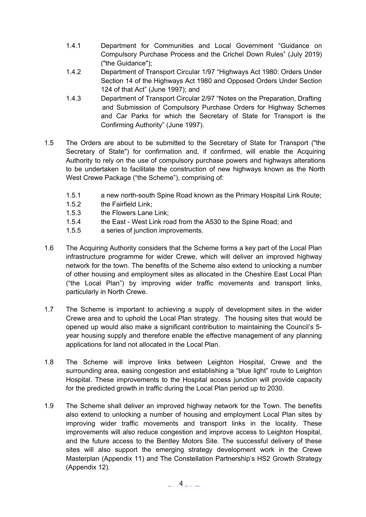- 1.4.1 Department for Communities and Local Government "Guidance on Compulsory Purchase Process and the Crichel Down Rules" (July 2019) ("the Guidance");
- 1.4.2 Department of Transport Circular 1/97 "Highways Act 1980: Orders Under Section 14 of the Highways Act 1980 and Opposed Orders Under Section 124 of that Act" (June 1997); and
- 1.4.3 Department of Transport Circular 2/97 "Notes on the Preparation, Drafting and Submission of Compulsory Purchase Orders for Highway Schemes and Car Parks for which the Secretary of State for Transport is the Confirming Authority" (June 1997).
- 1.5 The Orders are about to be submitted to the Secretary of State for Transport ("the Secretary of State") for confirmation and, if confirmed, will enable the Acquiring Authority to rely on the use of compulsory purchase powers and highways alterations to be undertaken to facilitate the construction of new highways known as the North West Crewe Package ("the Scheme"), comprising of:
	- 1.5.1 a new north-south Spine Road known as the Primary Hospital Link Route;
	- 1.5.2 the Fairfield Link;
	- 1.5.3 the Flowers Lane Link;
	- 1.5.4 the East West Link road from the A530 to the Spine Road; and
	- 1.5.5 a series of junction improvements.
- 1.6 The Acquiring Authority considers that the Scheme forms a key part of the Local Plan infrastructure programme for wider Crewe, which will deliver an improved highway network for the town. The benefits of the Scheme also extend to unlocking a number of other housing and employment sites as allocated in the Cheshire East Local Plan ("the Local Plan") by improving wider traffic movements and transport links, particularly in North Crewe.
- 1.7 The Scheme is important to achieving a supply of development sites in the wider Crewe area and to uphold the Local Plan strategy. The housing sites that would be opened up would also make a significant contribution to maintaining the Council's 5 year housing supply and therefore enable the effective management of any planning applications for land not allocated in the Local Plan.
- 1.8 The Scheme will improve links between Leighton Hospital, Crewe and the surrounding area, easing congestion and establishing a "blue light" route to Leighton Hospital. These improvements to the Hospital access junction will provide capacity for the predicted growth in traffic during the Local Plan period up to 2030.
- 1.9 The Scheme shall deliver an improved highway network for the Town. The benefits also extend to unlocking a number of housing and employment Local Plan sites by improving wider traffic movements and transport links in the locality. These improvements will also reduce congestion and improve access to Leighton Hospital, and the future access to the Bentley Motors Site. The successful delivery of these sites will also support the emerging strategy development work in the Crewe Masterplan (Appendix 11) and The Constellation Partnership's HS2 Growth Strategy (Appendix 12).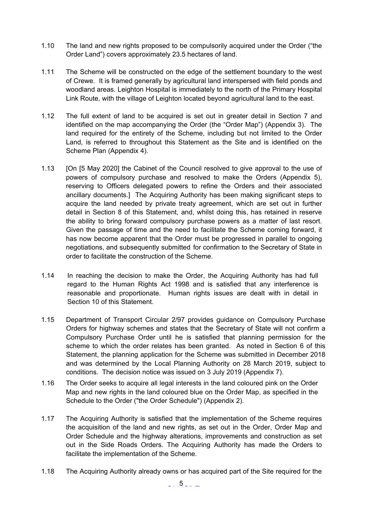- 1.10 The land and new rights proposed to be compulsorily acquired under the Order ("the Order Land") covers approximately 23.5 hectares of land.
- 1.11 The Scheme will be constructed on the edge of the settlement boundary to the west of Crewe. It is framed generally by agricultural land interspersed with field ponds and woodland areas. Leighton Hospital is immediately to the north of the Primary Hospital Link Route, with the village of Leighton located beyond agricultural land to the east.
- 1.12 The full extent of land to be acquired is set out in greater detail in Section 7 and identified on the map accompanying the Order (the "Order Map") (Appendix 3). The land required for the entirety of the Scheme, including but not limited to the Order Land, is referred to throughout this Statement as the Site and is identified on the Scheme Plan (Appendix 4).
- 1.13 [On [5 May 2020] the Cabinet of the Council resolved to give approval to the use of powers of compulsory purchase and resolved to make the Orders (Appendix 5), reserving to Officers delegated powers to refine the Orders and their associated ancillary documents.] The Acquiring Authority has been making significant steps to acquire the land needed by private treaty agreement, which are set out in further detail in Section 8 of this Statement, and, whilst doing this, has retained in reserve the ability to bring forward compulsory purchase powers as a matter of last resort. Given the passage of time and the need to facilitate the Scheme coming forward, it has now become apparent that the Order must be progressed in parallel to ongoing negotiations, and subsequently submitted for confirmation to the Secretary of State in order to facilitate the construction of the Scheme.
- 1.14 In reaching the decision to make the Order, the Acquiring Authority has had full regard to the Human Rights Act 1998 and is satisfied that any interference is reasonable and proportionate. Human rights issues are dealt with in detail in Section 10 of this Statement.
- 1.15 Department of Transport Circular 2/97 provides guidance on Compulsory Purchase Orders for highway schemes and states that the Secretary of State will not confirm a Compulsory Purchase Order until he is satisfied that planning permission for the scheme to which the order relates has been granted. As noted in Section 6 of this Statement, the planning application for the Scheme was submitted in December 2018 and was determined by the Local Planning Authority on 28 March 2019, subject to conditions. The decision notice was issued on 3 July 2019 (Appendix 7).
- 1.16 The Order seeks to acquire all legal interests in the land coloured pink on the Order Map and new rights in the land coloured blue on the Order Map, as specified in the Schedule to the Order ("the Order Schedule") (Appendix 2).
- 1.17 The Acquiring Authority is satisfied that the implementation of the Scheme requires the acquisition of the land and new rights, as set out in the Order, Order Map and Order Schedule and the highway alterations, improvements and construction as set out in the Side Roads Orders. The Acquiring Authority has made the Orders to facilitate the implementation of the Scheme.
- 1.18 The Acquiring Authority already owns or has acquired part of the Site required for the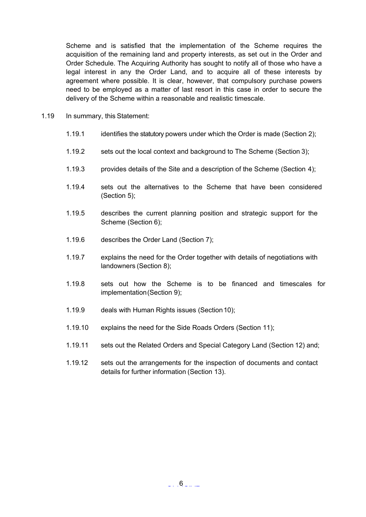Scheme and is satisfied that the implementation of the Scheme requires the acquisition of the remaining land and property interests, as set out in the Order and Order Schedule. The Acquiring Authority has sought to notify all of those who have a legal interest in any the Order Land, and to acquire all of these interests by agreement where possible. It is clear, however, that compulsory purchase powers need to be employed as a matter of last resort in this case in order to secure the delivery of the Scheme within a reasonable and realistic timescale.

- 1.19 In summary, this Statement:
	- 1.19.1 identifies the statutory powers under which the Order is made (Section 2);
	- 1.19.2 sets out the local context and background to The Scheme (Section 3);
	- 1.19.3 provides details of the Site and a description of the Scheme (Section 4);
	- 1.19.4 sets out the alternatives to the Scheme that have been considered (Section 5);
	- 1.19.5 describes the current planning position and strategic support for the Scheme (Section 6);
	- 1.19.6 describes the Order Land (Section 7);
	- 1.19.7 explains the need for the Order together with details of negotiations with landowners (Section 8);
	- 1.19.8 sets out how the Scheme is to be financed and timescales for implementation(Section 9);
	- 1.19.9 deals with Human Rights issues (Section10);
	- 1.19.10 explains the need for the Side Roads Orders (Section 11);
	- 1.19.11 sets out the Related Orders and Special Category Land (Section 12) and;
	- 1.19.12 sets out the arrangements for the inspection of documents and contact details for further information (Section 13).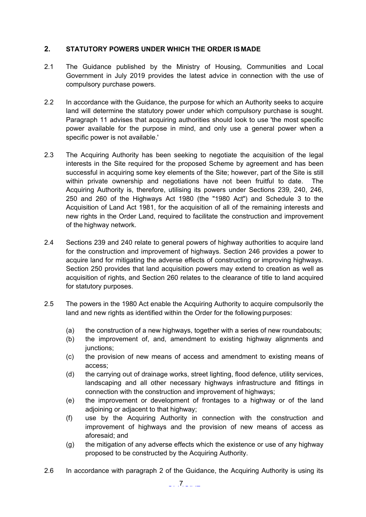# <span id="page-6-0"></span>**2. STATUTORY POWERS UNDER WHICH THE ORDER IS MADE**

- 2.1 The Guidance published by the Ministry of Housing, Communities and Local Government in July 2019 provides the latest advice in connection with the use of compulsory purchase powers.
- 2.2 In accordance with the Guidance, the purpose for which an Authority seeks to acquire land will determine the statutory power under which compulsory purchase is sought. Paragraph 11 advises that acquiring authorities should look to use 'the most specific power available for the purpose in mind, and only use a general power when a specific power is not available.'
- 2.3 The Acquiring Authority has been seeking to negotiate the acquisition of the legal interests in the Site required for the proposed Scheme by agreement and has been successful in acquiring some key elements of the Site; however, part of the Site is still within private ownership and negotiations have not been fruitful to date. The Acquiring Authority is, therefore, utilising its powers under Sections 239, 240, 246, 250 and 260 of the Highways Act 1980 (the "1980 Act") and Schedule 3 to the Acquisition of Land Act 1981, for the acquisition of all of the remaining interests and new rights in the Order Land, required to facilitate the construction and improvement of the highway network.
- 2.4 Sections 239 and 240 relate to general powers of highway authorities to acquire land for the construction and improvement of highways. Section 246 provides a power to acquire land for mitigating the adverse effects of constructing or improving highways. Section 250 provides that land acquisition powers may extend to creation as well as acquisition of rights, and Section 260 relates to the clearance of title to land acquired for statutory purposes.
- 2.5 The powers in the 1980 Act enable the Acquiring Authority to acquire compulsorily the land and new rights as identified within the Order for the following purposes:
	- (a) the construction of a new highways, together with a series of new roundabouts;
	- (b) the improvement of, and, amendment to existing highway alignments and junctions:
	- (c) the provision of new means of access and amendment to existing means of access;
	- (d) the carrying out of drainage works, street lighting, flood defence, utility services, landscaping and all other necessary highways infrastructure and fittings in connection with the construction and improvement of highways;
	- (e) the improvement or development of frontages to a highway or of the land adjoining or adjacent to that highway;
	- (f) use by the Acquiring Authority in connection with the construction and improvement of highways and the provision of new means of access as aforesaid; and
	- (g) the mitigation of any adverse effects which the existence or use of any highway proposed to be constructed by the Acquiring Authority.
- 2.6 In accordance with paragraph 2 of the Guidance, the Acquiring Authority is using its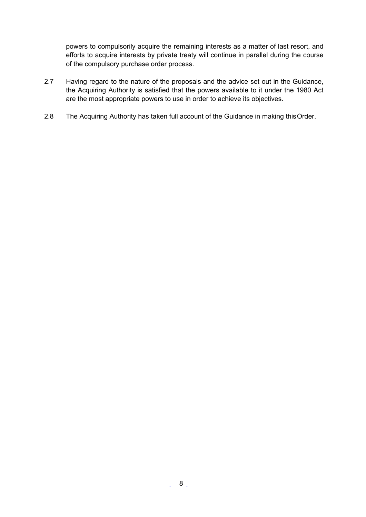powers to compulsorily acquire the remaining interests as a matter of last resort, and efforts to acquire interests by private treaty will continue in parallel during the course of the compulsory purchase order process.

- 2.7 Having regard to the nature of the proposals and the advice set out in the Guidance, the Acquiring Authority is satisfied that the powers available to it under the 1980 Act are the most appropriate powers to use in order to achieve its objectives.
- 2.8 The Acquiring Authority has taken full account of the Guidance in making thisOrder.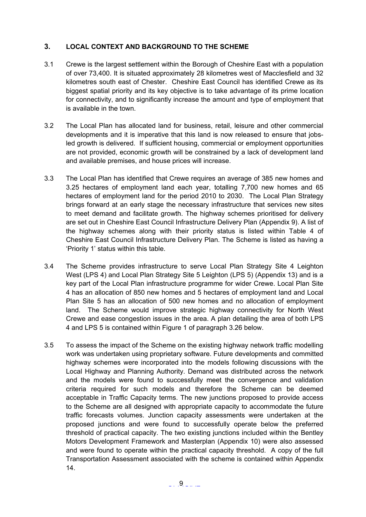# <span id="page-8-0"></span>**3. LOCAL CONTEXT AND BACKGROUND TO THE SCHEME**

- 3.1 Crewe is the largest settlement within the Borough of Cheshire East with a population of over 73,400. It is situated approximately 28 kilometres west of Macclesfield and 32 kilometres south east of Chester. Cheshire East Council has identified Crewe as its biggest spatial priority and its key objective is to take advantage of its prime location for connectivity, and to significantly increase the amount and type of employment that is available in the town.
- 3.2 The Local Plan has allocated land for business, retail, leisure and other commercial developments and it is imperative that this land is now released to ensure that jobsled growth is delivered. If sufficient housing, commercial or employment opportunities are not provided, economic growth will be constrained by a lack of development land and available premises, and house prices will increase.
- 3.3 The Local Plan has identified that Crewe requires an average of 385 new homes and 3.25 hectares of employment land each year, totalling 7,700 new homes and 65 hectares of employment land for the period 2010 to 2030. The Local Plan Strategy brings forward at an early stage the necessary infrastructure that services new sites to meet demand and facilitate growth. The highway schemes prioritised for delivery are set out in Cheshire East Council Infrastructure Delivery Plan (Appendix 9). A list of the highway schemes along with their priority status is listed within Table 4 of Cheshire East Council Infrastructure Delivery Plan. The Scheme is listed as having a 'Priority 1' status within this table.
- 3.4 The Scheme provides infrastructure to serve Local Plan Strategy Site 4 Leighton West (LPS 4) and Local Plan Strategy Site 5 Leighton (LPS 5) (Appendix 13) and is a key part of the Local Plan infrastructure programme for wider Crewe. Local Plan Site 4 has an allocation of 850 new homes and 5 hectares of employment land and Local Plan Site 5 has an allocation of 500 new homes and no allocation of employment land. The Scheme would improve strategic highway connectivity for North West Crewe and ease congestion issues in the area. A plan detailing the area of both LPS 4 and LPS 5 is contained within Figure 1 of paragraph 3.26 below.
- 3.5 To assess the impact of the Scheme on the existing highway network traffic modelling work was undertaken using proprietary software. Future developments and committed highway schemes were incorporated into the models following discussions with the Local Highway and Planning Authority. Demand was distributed across the network and the models were found to successfully meet the convergence and validation criteria required for such models and therefore the Scheme can be deemed acceptable in Traffic Capacity terms. The new junctions proposed to provide access to the Scheme are all designed with appropriate capacity to accommodate the future traffic forecasts volumes. Junction capacity assessments were undertaken at the proposed junctions and were found to successfully operate below the preferred threshold of practical capacity. The two existing junctions included within the Bentley Motors Development Framework and Masterplan (Appendix 10) were also assessed and were found to operate within the practical capacity threshold. A copy of the full Transportation Assessment associated with the scheme is contained within Appendix 14.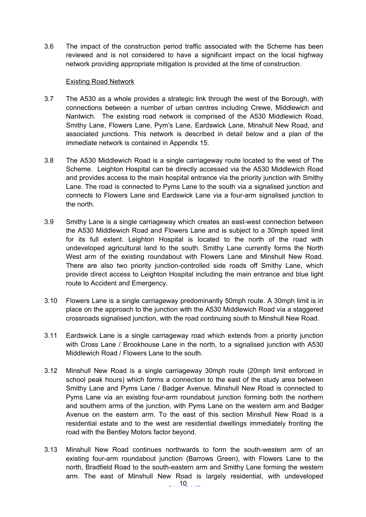3.6 The impact of the construction period traffic associated with the Scheme has been reviewed and is not considered to have a significant impact on the local highway network providing appropriate mitigation is provided at the time of construction.

#### Existing Road Network

- 3.7 The A530 as a whole provides a strategic link through the west of the Borough, with connections between a number of urban centres including Crewe, Middlewich and Nantwich. The existing road network is comprised of the A530 Middlewich Road, Smithy Lane, Flowers Lane, Pym's Lane, Eardswick Lane, Minshull New Road, and associated junctions. This network is described in detail below and a plan of the immediate network is contained in Appendix 15.
- 3.8 The A530 Middlewich Road is a single carriageway route located to the west of The Scheme. Leighton Hospital can be directly accessed via the A530 Middlewich Road and provides access to the main hospital entrance via the priority junction with Smithy Lane. The road is connected to Pyms Lane to the south via a signalised junction and connects to Flowers Lane and Eardswick Lane via a four-arm signalised junction to the north.
- 3.9 Smithy Lane is a single carriageway which creates an east-west connection between the A530 Middlewich Road and Flowers Lane and is subject to a 30mph speed limit for its full extent. Leighton Hospital is located to the north of the road with undeveloped agricultural land to the south. Smithy Lane currently forms the North West arm of the existing roundabout with Flowers Lane and Minshull New Road. There are also two priority junction-controlled side roads off Smithy Lane, which provide direct access to Leighton Hospital including the main entrance and blue light route to Accident and Emergency.
- 3.10 Flowers Lane is a single carriageway predominantly 50mph route. A 30mph limit is in place on the approach to the junction with the A530 Middlewich Road via a staggered crossroads signalised junction, with the road continuing south to Minshull New Road.
- 3.11 Eardswick Lane is a single carriageway road which extends from a priority junction with Cross Lane / Brookhouse Lane in the north, to a signalised junction with A530 Middlewich Road / Flowers Lane to the south.
- 3.12 Minshull New Road is a single carriageway 30mph route (20mph limit enforced in school peak hours) which forms a connection to the east of the study area between Smithy Lane and Pyms Lane / Badger Avenue. Minshull New Road is connected to Pyms Lane via an existing four-arm roundabout junction forming both the northern and southern arms of the junction, with Pyms Lane on the western arm and Badger Avenue on the eastern arm. To the east of this section Minshull New Road is a residential estate and to the west are residential dwellings immediately fronting the road with the Bentley Motors factor beyond.
- 3.13 Minshull New Road continues northwards to form the south-western arm of an existing four-arm roundabout junction (Barrows Green), with Flowers Lane to the north, Bradfield Road to the south-eastern arm and Smithy Lane forming the western arm. The east of Minshull New Road is largely residential, with undeveloped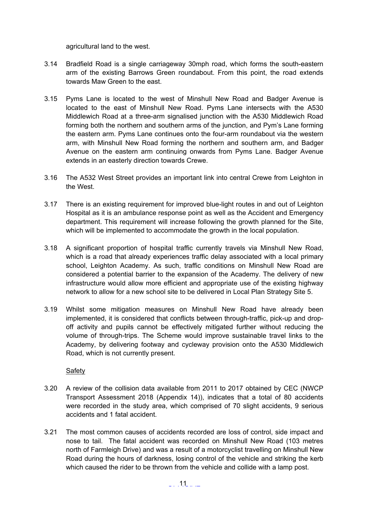agricultural land to the west.

- 3.14 Bradfield Road is a single carriageway 30mph road, which forms the south-eastern arm of the existing Barrows Green roundabout. From this point, the road extends towards Maw Green to the east.
- 3.15 Pyms Lane is located to the west of Minshull New Road and Badger Avenue is located to the east of Minshull New Road. Pyms Lane intersects with the A530 Middlewich Road at a three-arm signalised junction with the A530 Middlewich Road forming both the northern and southern arms of the junction, and Pym's Lane forming the eastern arm. Pyms Lane continues onto the four-arm roundabout via the western arm, with Minshull New Road forming the northern and southern arm, and Badger Avenue on the eastern arm continuing onwards from Pyms Lane. Badger Avenue extends in an easterly direction towards Crewe.
- 3.16 The A532 West Street provides an important link into central Crewe from Leighton in the West.
- 3.17 There is an existing requirement for improved blue-light routes in and out of Leighton Hospital as it is an ambulance response point as well as the Accident and Emergency department. This requirement will increase following the growth planned for the Site, which will be implemented to accommodate the growth in the local population.
- 3.18 A significant proportion of hospital traffic currently travels via Minshull New Road, which is a road that already experiences traffic delay associated with a local primary school, Leighton Academy. As such, traffic conditions on Minshull New Road are considered a potential barrier to the expansion of the Academy. The delivery of new infrastructure would allow more efficient and appropriate use of the existing highway network to allow for a new school site to be delivered in Local Plan Strategy Site 5.
- 3.19 Whilst some mitigation measures on Minshull New Road have already been implemented, it is considered that conflicts between through-traffic, pick-up and dropoff activity and pupils cannot be effectively mitigated further without reducing the volume of through-trips. The Scheme would improve sustainable travel links to the Academy, by delivering footway and cycleway provision onto the A530 Middlewich Road, which is not currently present.

**Safety** 

- 3.20 A review of the collision data available from 2011 to 2017 obtained by CEC (NWCP Transport Assessment 2018 (Appendix 14)), indicates that a total of 80 accidents were recorded in the study area, which comprised of 70 slight accidents, 9 serious accidents and 1 fatal accident.
- 3.21 The most common causes of accidents recorded are loss of control, side impact and nose to tail. The fatal accident was recorded on Minshull New Road (103 metres north of Farmleigh Drive) and was a result of a motorcyclist travelling on Minshull New Road during the hours of darkness, losing control of the vehicle and striking the kerb which caused the rider to be thrown from the vehicle and collide with a lamp post.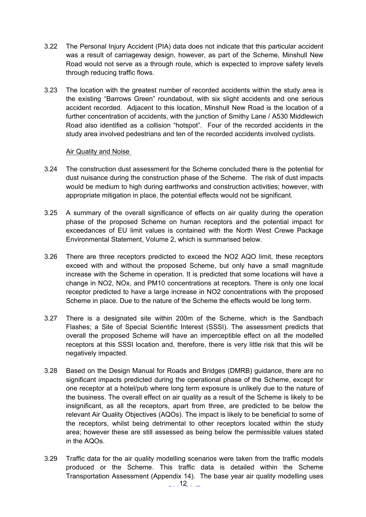- 3.22 The Personal Injury Accident (PIA) data does not indicate that this particular accident was a result of carriageway design, however, as part of the Scheme, Minshull New Road would not serve as a through route, which is expected to improve safety levels through reducing traffic flows.
- 3.23 The location with the greatest number of recorded accidents within the study area is the existing "Barrows Green" roundabout, with six slight accidents and one serious accident recorded. Adjacent to this location, Minshull New Road is the location of a further concentration of accidents, with the junction of Smithy Lane / A530 Middlewich Road also identified as a collision "hotspot". Four of the recorded accidents in the study area involved pedestrians and ten of the recorded accidents involved cyclists.

#### Air Quality and Noise

- 3.24 The construction dust assessment for the Scheme concluded there is the potential for dust nuisance during the construction phase of the Scheme. The risk of dust impacts would be medium to high during earthworks and construction activities; however, with appropriate mitigation in place, the potential effects would not be significant.
- 3.25 A summary of the overall significance of effects on air quality during the operation phase of the proposed Scheme on human receptors and the potential impact for exceedances of EU limit values is contained with the North West Crewe Package Environmental Statement, Volume 2, which is summarised below.
- 3.26 There are three receptors predicted to exceed the NO2 AQO limit, these receptors exceed with and without the proposed Scheme, but only have a small magnitude increase with the Scheme in operation. It is predicted that some locations will have a change in NO2, NOx, and PM10 concentrations at receptors. There is only one local receptor predicted to have a large increase in NO2 concentrations with the proposed Scheme in place. Due to the nature of the Scheme the effects would be long term.
- 3.27 There is a designated site within 200m of the Scheme, which is the Sandbach Flashes; a Site of Special Scientific Interest (SSSI). The assessment predicts that overall the proposed Scheme will have an imperceptible effect on all the modelled receptors at this SSSI location and, therefore, there is very little risk that this will be negatively impacted.
- 3.28 Based on the Design Manual for Roads and Bridges (DMRB) guidance, there are no significant impacts predicted during the operational phase of the Scheme, except for one receptor at a hotel/pub where long term exposure is unlikely due to the nature of the business. The overall effect on air quality as a result of the Scheme is likely to be insignificant, as all the receptors, apart from three, are predicted to be below the relevant Air Quality Objectives (AQOs). The impact is likely to be beneficial to some of the receptors, whilst being detrimental to other receptors located within the study area; however these are still assessed as being below the permissible values stated in the AQOs.
- 3.29 Traffic data for the air quality modelling scenarios were taken from the traffic models produced or the Scheme. This traffic data is detailed within the Scheme Transportation Assessment (Appendix 14). The base year air quality modelling uses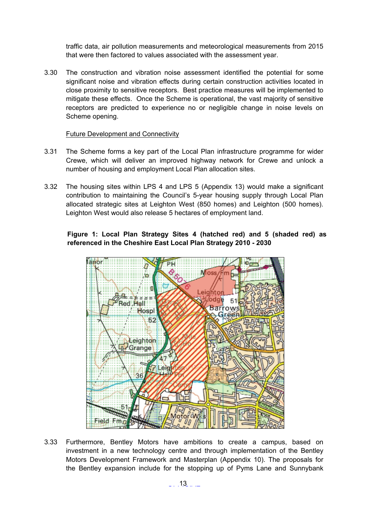traffic data, air pollution measurements and meteorological measurements from 2015 that were then factored to values associated with the assessment year.

3.30 The construction and vibration noise assessment identified the potential for some significant noise and vibration effects during certain construction activities located in close proximity to sensitive receptors. Best practice measures will be implemented to mitigate these effects. Once the Scheme is operational, the vast majority of sensitive receptors are predicted to experience no or negligible change in noise levels on Scheme opening.

#### Future Development and Connectivity

- 3.31 The Scheme forms a key part of the Local Plan infrastructure programme for wider Crewe, which will deliver an improved highway network for Crewe and unlock a number of housing and employment Local Plan allocation sites.
- 3.32 The housing sites within LPS 4 and LPS 5 (Appendix 13) would make a significant contribution to maintaining the Council's 5-year housing supply through Local Plan allocated strategic sites at Leighton West (850 homes) and Leighton (500 homes). Leighton West would also release 5 hectares of employment land.

# **Figure 1: Local Plan Strategy Sites 4 (hatched red) and 5 (shaded red) as referenced in the Cheshire East Local Plan Strategy 2010 - 2030**



3.33 Furthermore, Bentley Motors have ambitions to create a campus, based on investment in a new technology centre and through implementation of the Bentley Motors Development Framework and Masterplan (Appendix 10). The proposals for the Bentley expansion include for the stopping up of Pyms Lane and Sunnybank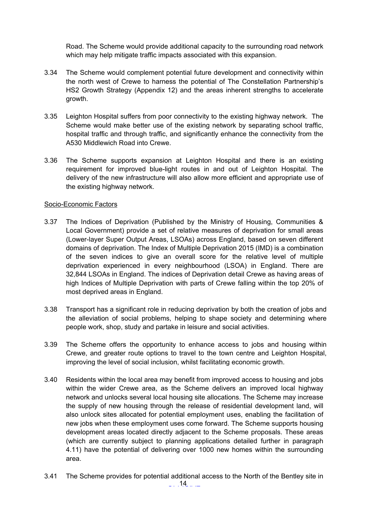Road. The Scheme would provide additional capacity to the surrounding road network which may help mitigate traffic impacts associated with this expansion.

- 3.34 The Scheme would complement potential future development and connectivity within the north west of Crewe to harness the potential of The Constellation Partnership's HS2 Growth Strategy (Appendix 12) and the areas inherent strengths to accelerate growth.
- 3.35 Leighton Hospital suffers from poor connectivity to the existing highway network. The Scheme would make better use of the existing network by separating school traffic, hospital traffic and through traffic, and significantly enhance the connectivity from the A530 Middlewich Road into Crewe.
- 3.36 The Scheme supports expansion at Leighton Hospital and there is an existing requirement for improved blue-light routes in and out of Leighton Hospital. The delivery of the new infrastructure will also allow more efficient and appropriate use of the existing highway network.

#### Socio-Economic Factors

- 3.37 The Indices of Deprivation (Published by the Ministry of Housing, Communities & Local Government) provide a set of relative measures of deprivation for small areas (Lower-layer Super Output Areas, LSOAs) across England, based on seven different domains of deprivation. The Index of Multiple Deprivation 2015 (IMD) is a combination of the seven indices to give an overall score for the relative level of multiple deprivation experienced in every neighbourhood (LSOA) in England. There are 32,844 LSOAs in England. The indices of Deprivation detail Crewe as having areas of high Indices of Multiple Deprivation with parts of Crewe falling within the top 20% of most deprived areas in England.
- 3.38 Transport has a significant role in reducing deprivation by both the creation of jobs and the alleviation of social problems, helping to shape society and determining where people work, shop, study and partake in leisure and social activities.
- 3.39 The Scheme offers the opportunity to enhance access to jobs and housing within Crewe, and greater route options to travel to the town centre and Leighton Hospital, improving the level of social inclusion, whilst facilitating economic growth.
- 3.40 Residents within the local area may benefit from improved access to housing and jobs within the wider Crewe area, as the Scheme delivers an improved local highway network and unlocks several local housing site allocations. The Scheme may increase the supply of new housing through the release of residential development land, will also unlock sites allocated for potential employment uses, enabling the facilitation of new jobs when these employment uses come forward. The Scheme supports housing development areas located directly adjacent to the Scheme proposals. These areas (which are currently subject to planning applications detailed further in paragraph 4.11) have the potential of delivering over 1000 new homes within the surrounding area.
- $\ldots$  14  $\ldots$ 3.41 The Scheme provides for potential additional access to the North of the Bentley site in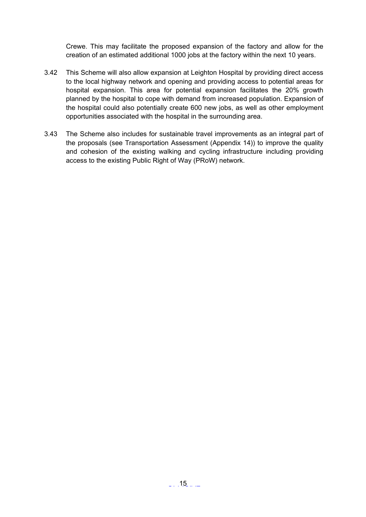Crewe. This may facilitate the proposed expansion of the factory and allow for the creation of an estimated additional 1000 jobs at the factory within the next 10 years.

- 3.42 This Scheme will also allow expansion at Leighton Hospital by providing direct access to the local highway network and opening and providing access to potential areas for hospital expansion. This area for potential expansion facilitates the 20% growth planned by the hospital to cope with demand from increased population. Expansion of the hospital could also potentially create 600 new jobs, as well as other employment opportunities associated with the hospital in the surrounding area.
- 3.43 The Scheme also includes for sustainable travel improvements as an integral part of the proposals (see Transportation Assessment (Appendix 14)) to improve the quality and cohesion of the existing walking and cycling infrastructure including providing access to the existing Public Right of Way (PRoW) network.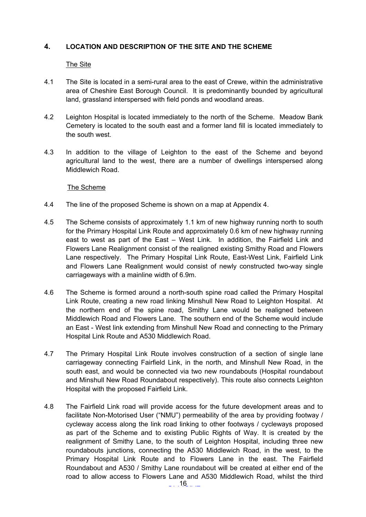# <span id="page-15-0"></span>**4. LOCATION AND DESCRIPTION OF THE SITE AND THE SCHEME**

#### The Site

- 4.1 The Site is located in a semi-rural area to the east of Crewe, within the administrative area of Cheshire East Borough Council. It is predominantly bounded by agricultural land, grassland interspersed with field ponds and woodland areas.
- 4.2 Leighton Hospital is located immediately to the north of the Scheme. Meadow Bank Cemetery is located to the south east and a former land fill is located immediately to the south west.
- 4.3 In addition to the village of Leighton to the east of the Scheme and beyond agricultural land to the west, there are a number of dwellings interspersed along Middlewich Road.

#### The Scheme

- 4.4 The line of the proposed Scheme is shown on a map at Appendix 4.
- 4.5 The Scheme consists of approximately 1.1 km of new highway running north to south for the Primary Hospital Link Route and approximately 0.6 km of new highway running east to west as part of the East – West Link. In addition, the Fairfield Link and Flowers Lane Realignment consist of the realigned existing Smithy Road and Flowers Lane respectively. The Primary Hospital Link Route, East-West Link, Fairfield Link and Flowers Lane Realignment would consist of newly constructed two-way single carriageways with a mainline width of 6.9m.
- 4.6 The Scheme is formed around a north-south spine road called the Primary Hospital Link Route, creating a new road linking Minshull New Road to Leighton Hospital. At the northern end of the spine road, Smithy Lane would be realigned between Middlewich Road and Flowers Lane. The southern end of the Scheme would include an East - West link extending from Minshull New Road and connecting to the Primary Hospital Link Route and A530 Middlewich Road.
- 4.7 The Primary Hospital Link Route involves construction of a section of single lane carriageway connecting Fairfield Link, in the north, and Minshull New Road, in the south east, and would be connected via two new roundabouts (Hospital roundabout and Minshull New Road Roundabout respectively). This route also connects Leighton Hospital with the proposed Fairfield Link.
- 4.8 The Fairfield Link road will provide access for the future development areas and to facilitate Non-Motorised User ("NMU") permeability of the area by providing footway / cycleway access along the link road linking to other footways / cycleways proposed as part of the Scheme and to existing Public Rights of Way. It is created by the realignment of Smithy Lane, to the south of Leighton Hospital, including three new roundabouts junctions, connecting the A530 Middlewich Road, in the west, to the Primary Hospital Link Route and to Flowers Lane in the east. The Fairfield Roundabout and A530 / Smithy Lane roundabout will be created at either end of the road to allow access to Flowers Lane and A530 Middlewich Road, whilst the third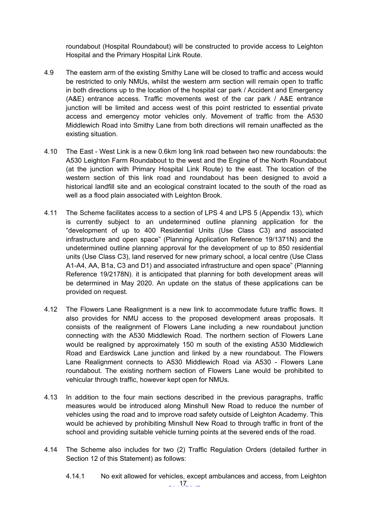roundabout (Hospital Roundabout) will be constructed to provide access to Leighton Hospital and the Primary Hospital Link Route.

- 4.9 The eastern arm of the existing Smithy Lane will be closed to traffic and access would be restricted to only NMUs, whilst the western arm section will remain open to traffic in both directions up to the location of the hospital car park / Accident and Emergency (A&E) entrance access. Traffic movements west of the car park / A&E entrance junction will be limited and access west of this point restricted to essential private access and emergency motor vehicles only. Movement of traffic from the A530 Middlewich Road into Smithy Lane from both directions will remain unaffected as the existing situation.
- 4.10 The East West Link is a new 0.6km long link road between two new roundabouts: the A530 Leighton Farm Roundabout to the west and the Engine of the North Roundabout (at the junction with Primary Hospital Link Route) to the east. The location of the western section of this link road and roundabout has been designed to avoid a historical landfill site and an ecological constraint located to the south of the road as well as a flood plain associated with Leighton Brook.
- 4.11 The Scheme facilitates access to a section of LPS 4 and LPS 5 (Appendix 13), which is currently subject to an undetermined outline planning application for the "development of up to 400 Residential Units (Use Class C3) and associated infrastructure and open space" (Planning Application Reference 19/1371N) and the undetermined outline planning approval for the development of up to 850 residential units (Use Class C3), land reserved for new primary school, a local centre (Use Class A1-A4, AA, B1a, C3 and D1) and associated infrastructure and open space" (Planning Reference 19/2178N). it is anticipated that planning for both development areas will be determined in May 2020. An update on the status of these applications can be provided on request.
- 4.12 The Flowers Lane Realignment is a new link to accommodate future traffic flows. It also provides for NMU access to the proposed development areas proposals. It consists of the realignment of Flowers Lane including a new roundabout junction connecting with the A530 Middlewich Road. The northern section of Flowers Lane would be realigned by approximately 150 m south of the existing A530 Middlewich Road and Eardswick Lane junction and linked by a new roundabout. The Flowers Lane Realignment connects to A530 Middlewich Road via A530 - Flowers Lane roundabout. The existing northern section of Flowers Lane would be prohibited to vehicular through traffic, however kept open for NMUs.
- 4.13 In addition to the four main sections described in the previous paragraphs, traffic measures would be introduced along Minshull New Road to reduce the number of vehicles using the road and to improve road safety outside of Leighton Academy. This would be achieved by prohibiting Minshull New Road to through traffic in front of the school and providing suitable vehicle turning points at the severed ends of the road.
- 4.14 The Scheme also includes for two (2) Traffic Regulation Orders (detailed further in Section 12 of this Statement) as follows:
	- $\ldots$  .17  $\ldots$   $\ldots$ 4.14.1 No exit allowed for vehicles, except ambulances and access, from Leighton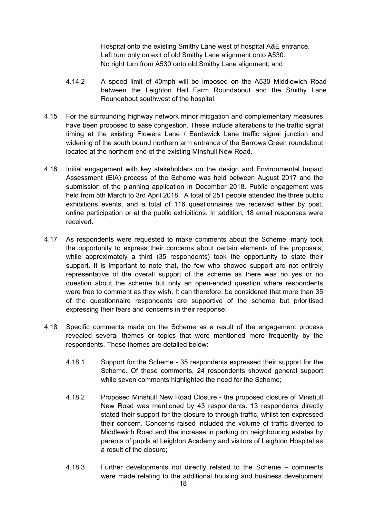Hospital onto the existing Smithy Lane west of hospital A&E entrance. Left turn only on exit of old Smithy Lane alignment onto A530. No right turn from A530 onto old Smithy Lane alignment; and

- 4.14.2 A speed limit of 40mph will be imposed on the A530 Middlewich Road between the Leighton Hall Farm Roundabout and the Smithy Lane Roundabout southwest of the hospital.
- 4.15 For the surrounding highway network minor mitigation and complementary measures have been proposed to ease congestion. These include alterations to the traffic signal timing at the existing Flowers Lane / Eardswick Lane traffic signal junction and widening of the south bound northern arm entrance of the Barrows Green roundabout located at the northern end of the existing Minshull New Road.
- 4.16 Initial engagement with key stakeholders on the design and Environmental Impact Assessment (EIA) process of the Scheme was held between August 2017 and the submission of the planning application in December 2018. Public engagement was held from 5th March to 3rd April 2018. A total of 251 people attended the three public exhibitions events, and a total of 116 questionnaires we received either by post, online participation or at the public exhibitions. In addition, 18 email responses were received.
- 4.17 As respondents were requested to make comments about the Scheme, many took the opportunity to express their concerns about certain elements of the proposals, while approximately a third (35 respondents) took the opportunity to state their support. It is important to note that, the few who showed support are not entirely representative of the overall support of the scheme as there was no yes or no question about the scheme but only an open-ended question where respondents were free to comment as they wish. It can therefore, be considered that more than 35 of the questionnaire respondents are supportive of the scheme but prioritised expressing their fears and concerns in their response.
- 4.18 Specific comments made on the Scheme as a result of the engagement process revealed several themes or topics that were mentioned more frequently by the respondents. These themes are detailed below:
	- 4.18.1 Support for the Scheme 35 respondents expressed their support for the Scheme. Of these comments, 24 respondents showed general support while seven comments highlighted the need for the Scheme;
	- 4.18.2 Proposed Minshull New Road Closure the proposed closure of Minshull New Road was mentioned by 43 respondents. 13 respondents directly stated their support for the closure to through traffic, whilst ten expressed their concern. Concerns raised included the volume of traffic diverted to Middlewich Road and the increase in parking on neighbouring estates by parents of pupils at Leighton Academy and visitors of Leighton Hospital as a result of the closure;
	- $\ldots$  18  $\ldots$ 4.18.3 Further developments not directly related to the Scheme – comments were made relating to the additional housing and business development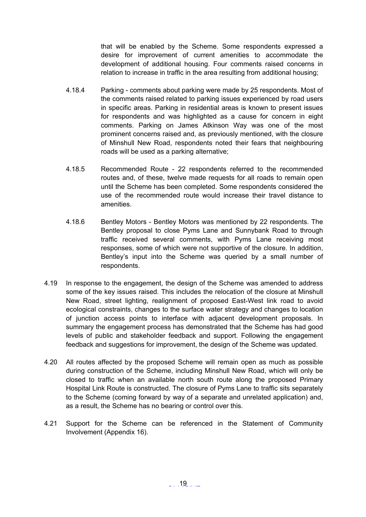that will be enabled by the Scheme. Some respondents expressed a desire for improvement of current amenities to accommodate the development of additional housing. Four comments raised concerns in relation to increase in traffic in the area resulting from additional housing;

- 4.18.4 Parking comments about parking were made by 25 respondents. Most of the comments raised related to parking issues experienced by road users in specific areas. Parking in residential areas is known to present issues for respondents and was highlighted as a cause for concern in eight comments. Parking on James Atkinson Way was one of the most prominent concerns raised and, as previously mentioned, with the closure of Minshull New Road, respondents noted their fears that neighbouring roads will be used as a parking alternative;
- 4.18.5 Recommended Route 22 respondents referred to the recommended routes and, of these, twelve made requests for all roads to remain open until the Scheme has been completed. Some respondents considered the use of the recommended route would increase their travel distance to amenities.
- 4.18.6 Bentley Motors Bentley Motors was mentioned by 22 respondents. The Bentley proposal to close Pyms Lane and Sunnybank Road to through traffic received several comments, with Pyms Lane receiving most responses, some of which were not supportive of the closure. In addition, Bentley's input into the Scheme was queried by a small number of respondents.
- 4.19 In response to the engagement, the design of the Scheme was amended to address some of the key issues raised. This includes the relocation of the closure at Minshull New Road, street lighting, realignment of proposed East-West link road to avoid ecological constraints, changes to the surface water strategy and changes to location of junction access points to interface with adjacent development proposals. In summary the engagement process has demonstrated that the Scheme has had good levels of public and stakeholder feedback and support. Following the engagement feedback and suggestions for improvement, the design of the Scheme was updated.
- 4.20 All routes affected by the proposed Scheme will remain open as much as possible during construction of the Scheme, including Minshull New Road, which will only be closed to traffic when an available north south route along the proposed Primary Hospital Link Route is constructed. The closure of Pyms Lane to traffic sits separately to the Scheme (coming forward by way of a separate and unrelated application) and, as a result, the Scheme has no bearing or control over this.
- 4.21 Support for the Scheme can be referenced in the Statement of Community Involvement (Appendix 16).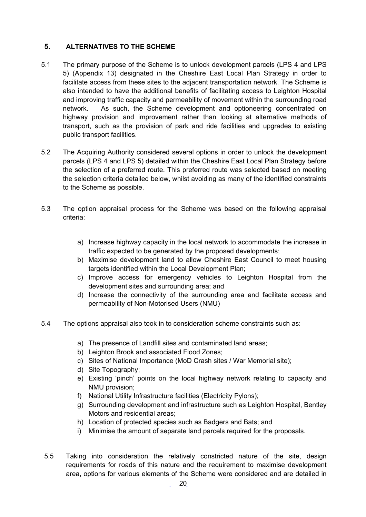# <span id="page-19-0"></span>**5. ALTERNATIVES TO THE SCHEME**

- 5.1 The primary purpose of the Scheme is to unlock development parcels (LPS 4 and LPS 5) (Appendix 13) designated in the Cheshire East Local Plan Strategy in order to facilitate access from these sites to the adjacent transportation network. The Scheme is also intended to have the additional benefits of facilitating access to Leighton Hospital and improving traffic capacity and permeability of movement within the surrounding road network. As such, the Scheme development and optioneering concentrated on highway provision and improvement rather than looking at alternative methods of transport, such as the provision of park and ride facilities and upgrades to existing public transport facilities.
- 5.2 The Acquiring Authority considered several options in order to unlock the development parcels (LPS 4 and LPS 5) detailed within the Cheshire East Local Plan Strategy before the selection of a preferred route. This preferred route was selected based on meeting the selection criteria detailed below, whilst avoiding as many of the identified constraints to the Scheme as possible.
- 5.3 The option appraisal process for the Scheme was based on the following appraisal criteria:
	- a) Increase highway capacity in the local network to accommodate the increase in traffic expected to be generated by the proposed developments;
	- b) Maximise development land to allow Cheshire East Council to meet housing targets identified within the Local Development Plan;
	- c) Improve access for emergency vehicles to Leighton Hospital from the development sites and surrounding area; and
	- d) Increase the connectivity of the surrounding area and facilitate access and permeability of Non-Motorised Users (NMU)
- 5.4 The options appraisal also took in to consideration scheme constraints such as:
	- a) The presence of Landfill sites and contaminated land areas;
	- b) Leighton Brook and associated Flood Zones;
	- c) Sites of National Importance (MoD Crash sites / War Memorial site);
	- d) Site Topography;
	- e) Existing 'pinch' points on the local highway network relating to capacity and NMU provision;
	- f) National Utility Infrastructure facilities (Electricity Pylons);
	- g) Surrounding development and infrastructure such as Leighton Hospital, Bentley Motors and residential areas;
	- h) Location of protected species such as Badgers and Bats; and
	- i) Minimise the amount of separate land parcels required for the proposals.
- 5.5 Taking into consideration the relatively constricted nature of the site, design requirements for roads of this nature and the requirement to maximise development area, options for various elements of the Scheme were considered and are detailed in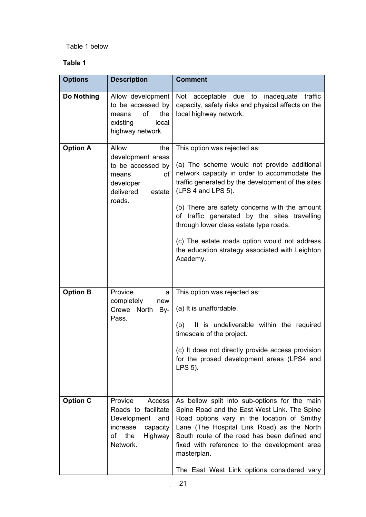# Table 1 below.

# **Table 1**

| <b>Options</b>  | <b>Description</b>                                                                                                      | <b>Comment</b>                                                                                                                                                                                                                                                                                                                                                                                                                                                    |
|-----------------|-------------------------------------------------------------------------------------------------------------------------|-------------------------------------------------------------------------------------------------------------------------------------------------------------------------------------------------------------------------------------------------------------------------------------------------------------------------------------------------------------------------------------------------------------------------------------------------------------------|
| Do Nothing      | Allow development<br>to be accessed by<br>of<br>the<br>means<br>local<br>existing<br>highway network.                   | Not acceptable due to<br>inadequate<br>traffic<br>capacity, safety risks and physical affects on the<br>local highway network.                                                                                                                                                                                                                                                                                                                                    |
| <b>Option A</b> | Allow<br>the<br>development areas<br>to be accessed by<br>οf<br>means<br>developer<br>delivered<br>estate<br>roads.     | This option was rejected as:<br>(a) The scheme would not provide additional<br>network capacity in order to accommodate the<br>traffic generated by the development of the sites<br>(LPS 4 and LPS 5).<br>(b) There are safety concerns with the amount<br>of traffic generated by the sites travelling<br>through lower class estate type roads.<br>(c) The estate roads option would not address<br>the education strategy associated with Leighton<br>Academy. |
| <b>Option B</b> | Provide<br>a<br>completely<br>new<br>North<br>Crewe<br>By-<br>Pass.                                                     | This option was rejected as:<br>(a) It is unaffordable.<br>(b)<br>It is undeliverable within the required<br>timescale of the project.<br>(c) It does not directly provide access provision<br>for the prosed development areas (LPS4 and<br>LPS 5).                                                                                                                                                                                                              |
| <b>Option C</b> | Provide<br>Access<br>Roads to facilitate<br>Development and<br>increase<br>capacity<br>the<br>of<br>Highway<br>Network. | As bellow split into sub-options for the main<br>Spine Road and the East West Link. The Spine<br>Road options vary in the location of Smithy<br>Lane (The Hospital Link Road) as the North<br>South route of the road has been defined and<br>fixed with reference to the development area<br>masterplan.<br>The East West Link options considered vary                                                                                                           |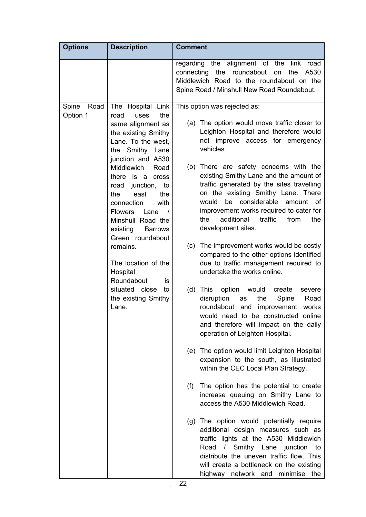| <b>Options</b>            | <b>Description</b>                                                                                                                                                                                                                                                  | <b>Comment</b>                                                                                                                                                                                                                                                                                                                                                                                                                   |
|---------------------------|---------------------------------------------------------------------------------------------------------------------------------------------------------------------------------------------------------------------------------------------------------------------|----------------------------------------------------------------------------------------------------------------------------------------------------------------------------------------------------------------------------------------------------------------------------------------------------------------------------------------------------------------------------------------------------------------------------------|
|                           |                                                                                                                                                                                                                                                                     | the alignment of the<br>regarding<br>link<br>road<br>roundabout<br>connecting<br>the<br>the<br>A530<br>on<br>Middlewich Road to the roundabout on the<br>Spine Road / Minshull New Road Roundabout.                                                                                                                                                                                                                              |
| Spine<br>Road<br>Option 1 | The Hospital Link<br>the<br>road<br>uses<br>same alignment as<br>the existing Smithy<br>Lane. To the west,<br>the Smithy Lane<br>junction and A530<br>Middlewich<br>Road<br>there is a cross<br>road<br>junction,<br>to<br>the<br>east<br>the<br>connection<br>with | This option was rejected as:<br>(a) The option would move traffic closer to<br>Leighton Hospital and therefore would<br>not improve access for emergency<br>vehicles.<br>(b) There are safety concerns with the<br>existing Smithy Lane and the amount of<br>traffic generated by the sites travelling<br>on the existing Smithy Lane. There<br>be considerable<br>would<br>amount of<br>improvement works required to cater for |
|                           | <b>Flowers</b><br>Lane<br>$\sqrt{ }$<br>Minshull Road the<br>existing<br><b>Barrows</b><br>Green roundabout                                                                                                                                                         | additional<br>traffic<br>the<br>from<br>the<br>development sites.                                                                                                                                                                                                                                                                                                                                                                |
|                           | remains.<br>The location of the<br>Hospital<br>Roundabout<br>İS                                                                                                                                                                                                     | (c) The improvement works would be costly<br>compared to the other options identified<br>due to traffic management required to<br>undertake the works online.                                                                                                                                                                                                                                                                    |
|                           | situated close<br>to<br>the existing Smithy<br>Lane.                                                                                                                                                                                                                | $(d)$ This<br>option<br>would<br>create<br>severe<br>disruption<br>the<br>Spine<br>Road<br>as<br>roundabout and improvement<br>works<br>would need to be constructed online<br>and therefore will impact on the daily<br>operation of Leighton Hospital.                                                                                                                                                                         |
|                           |                                                                                                                                                                                                                                                                     | (e) The option would limit Leighton Hospital<br>expansion to the south, as illustrated<br>within the CEC Local Plan Strategy.                                                                                                                                                                                                                                                                                                    |
|                           |                                                                                                                                                                                                                                                                     | (f)<br>The option has the potential to create<br>increase queuing on Smithy Lane to<br>access the A530 Middlewich Road.                                                                                                                                                                                                                                                                                                          |
|                           |                                                                                                                                                                                                                                                                     | (g) The option would potentially require<br>additional design measures such as<br>traffic lights at the A530 Middlewich<br>Smithy Lane junction<br>Road<br>$\sqrt{2}$<br>to<br>distribute the uneven traffic flow. This<br>will create a bottleneck on the existing<br>highway network and minimise<br>the                                                                                                                       |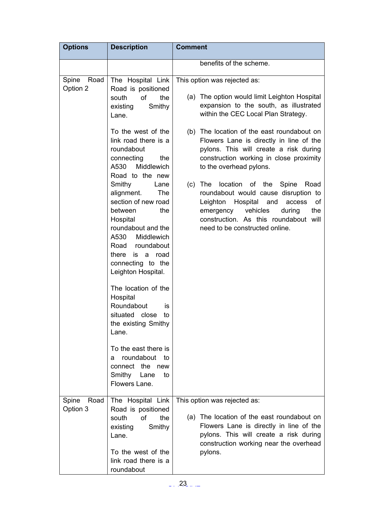| <b>Options</b>            | <b>Description</b>                                                                                                                                                                                                                                                                                                                                                                                                                                                          | <b>Comment</b>                                                                                                                                                                                                                                   |
|---------------------------|-----------------------------------------------------------------------------------------------------------------------------------------------------------------------------------------------------------------------------------------------------------------------------------------------------------------------------------------------------------------------------------------------------------------------------------------------------------------------------|--------------------------------------------------------------------------------------------------------------------------------------------------------------------------------------------------------------------------------------------------|
|                           |                                                                                                                                                                                                                                                                                                                                                                                                                                                                             | benefits of the scheme.                                                                                                                                                                                                                          |
| Spine<br>Road<br>Option 2 | The Hospital Link<br>Road is positioned<br>of<br>south<br>the<br>Smithy<br>existing<br>Lane.                                                                                                                                                                                                                                                                                                                                                                                | This option was rejected as:<br>(a) The option would limit Leighton Hospital<br>expansion to the south, as illustrated<br>within the CEC Local Plan Strategy.                                                                                    |
|                           | To the west of the<br>link road there is a<br>roundabout<br>connecting<br>the<br>A530<br>Middlewich                                                                                                                                                                                                                                                                                                                                                                         | (b) The location of the east roundabout on<br>Flowers Lane is directly in line of the<br>pylons. This will create a risk during<br>construction working in close proximity<br>to the overhead pylons.                                            |
|                           | Road to the new<br>Smithy<br>Lane<br>alignment.<br><b>The</b><br>section of new road<br>between<br>the<br>Hospital<br>roundabout and the<br>A530<br>Middlewich<br>Road roundabout<br>there<br>is a<br>road<br>connecting to the<br>Leighton Hospital.<br>The location of the<br>Hospital<br>Roundabout<br>is<br>situated close<br>tο<br>the existing Smithy<br>Lane.<br>To the east there is<br>roundabout to<br>a<br>connect the new<br>Smithy Lane<br>to<br>Flowers Lane. | $(c)$ The<br>location of the Spine<br>Road<br>roundabout would cause disruption to<br>Leighton Hospital and<br>access<br>of<br>the<br>emergency<br>vehicles<br>during<br>construction. As this roundabout will<br>need to be constructed online. |
| Spine<br>Road             | The Hospital Link                                                                                                                                                                                                                                                                                                                                                                                                                                                           | This option was rejected as:                                                                                                                                                                                                                     |
| Option 3                  | Road is positioned<br>of<br>the<br>south<br>Smithy<br>existing<br>Lane.                                                                                                                                                                                                                                                                                                                                                                                                     | (a) The location of the east roundabout on<br>Flowers Lane is directly in line of the<br>pylons. This will create a risk during<br>construction working near the overhead                                                                        |
|                           | To the west of the<br>link road there is a<br>roundabout                                                                                                                                                                                                                                                                                                                                                                                                                    | pylons.                                                                                                                                                                                                                                          |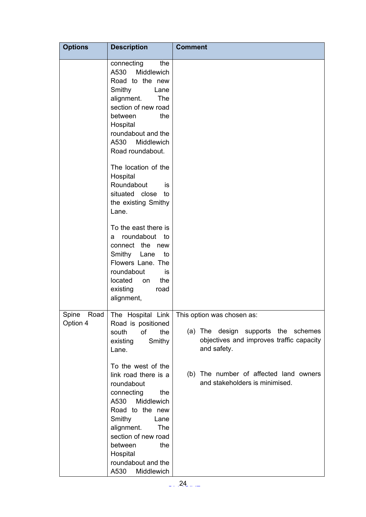| <b>Options</b>            | <b>Description</b>                                                                                                                                                                                                                                          | <b>Comment</b>                                                                                                               |
|---------------------------|-------------------------------------------------------------------------------------------------------------------------------------------------------------------------------------------------------------------------------------------------------------|------------------------------------------------------------------------------------------------------------------------------|
|                           | connecting<br>the<br>A530<br>Middlewich<br>Road to the new<br>Smithy<br>Lane<br>alignment.<br><b>The</b><br>section of new road<br>between<br>the<br>Hospital<br>roundabout and the<br>A530 Middlewich<br>Road roundabout.                                  |                                                                                                                              |
|                           | The location of the<br>Hospital<br>Roundabout<br>is<br>situated close<br>to<br>the existing Smithy<br>Lane.                                                                                                                                                 |                                                                                                                              |
|                           | To the east there is<br>roundabout to<br>a<br>connect the new<br>Smithy Lane<br>to<br>Flowers Lane. The<br>roundabout<br>is<br>located<br>the<br>on<br>existing<br>road<br>alignment,                                                                       |                                                                                                                              |
| Spine<br>Road<br>Option 4 | The Hospital Link<br>Road is positioned<br>of<br>the<br>south<br>Smithy<br>existing<br>Lane.                                                                                                                                                                | This option was chosen as:<br>(a) The design supports the schemes<br>objectives and improves traffic capacity<br>and safety. |
|                           | To the west of the<br>link road there is a<br>roundabout<br>connecting<br>the<br>A530 Middlewich<br>Road to the new<br>Smithy<br>Lane<br>alignment.<br>The<br>section of new road<br>between<br>the<br>Hospital<br>roundabout and the<br>A530<br>Middlewich | (b) The number of affected land owners<br>and stakeholders is minimised.                                                     |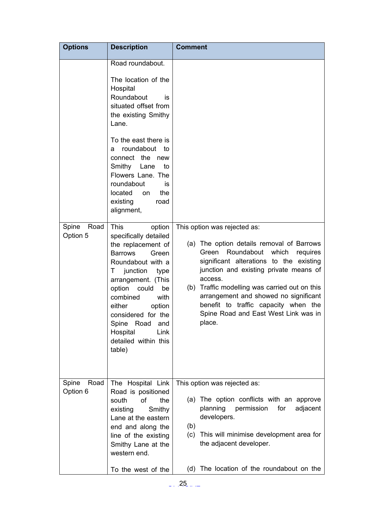| <b>Options</b>            | <b>Description</b>                                                                                                                                                                                                                                                                                                                     | <b>Comment</b>                                                                                                                                                                                                                                                                                                                                                                                            |
|---------------------------|----------------------------------------------------------------------------------------------------------------------------------------------------------------------------------------------------------------------------------------------------------------------------------------------------------------------------------------|-----------------------------------------------------------------------------------------------------------------------------------------------------------------------------------------------------------------------------------------------------------------------------------------------------------------------------------------------------------------------------------------------------------|
|                           | Road roundabout.<br>The location of the<br>Hospital<br>Roundabout<br>İS<br>situated offset from<br>the existing Smithy<br>Lane.<br>To the east there is<br>roundabout to<br>а<br>connect the new<br>Smithy Lane<br>to<br>Flowers Lane. The<br>roundabout<br>İS<br>located<br>the<br>on<br>existing<br>road<br>alignment,               |                                                                                                                                                                                                                                                                                                                                                                                                           |
| Spine<br>Road<br>Option 5 | <b>This</b><br>option<br>specifically detailed<br>the replacement of<br><b>Barrows</b><br>Green<br>Roundabout with a<br>junction<br>T.<br>type<br>arrangement. (This<br>option<br>could<br>be<br>combined<br>with<br>either<br>option<br>considered for the<br>Spine Road<br>and<br>Hospital<br>Link<br>detailed within this<br>table) | This option was rejected as:<br>(a) The option details removal of Barrows<br>Roundabout<br>which<br>Green<br>requires<br>significant alterations to the existing<br>junction and existing private means of<br>access.<br>(b) Traffic modelling was carried out on this<br>arrangement and showed no significant<br>benefit to traffic capacity when the<br>Spine Road and East West Link was in<br>place. |
| Spine<br>Road<br>Option 6 | The Hospital Link<br>Road is positioned<br>of<br>south<br>the<br>Smithy<br>existing<br>Lane at the eastern<br>end and along the<br>line of the existing                                                                                                                                                                                | This option was rejected as:<br>(a) The option conflicts with an approve<br>planning<br>permission<br>for<br>adjacent<br>developers.<br>(b)<br>(c) This will minimise development area for                                                                                                                                                                                                                |
|                           | Smithy Lane at the<br>western end.<br>To the west of the                                                                                                                                                                                                                                                                               | the adjacent developer.<br>(d) The location of the roundabout on the                                                                                                                                                                                                                                                                                                                                      |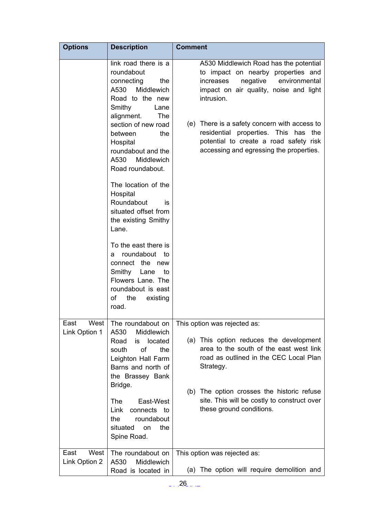| <b>Options</b>                | <b>Description</b>                                                                                                                                                                                                                                                                                                                          | <b>Comment</b>                                                                                                                                                                                                                                                                                                                                              |
|-------------------------------|---------------------------------------------------------------------------------------------------------------------------------------------------------------------------------------------------------------------------------------------------------------------------------------------------------------------------------------------|-------------------------------------------------------------------------------------------------------------------------------------------------------------------------------------------------------------------------------------------------------------------------------------------------------------------------------------------------------------|
|                               | link road there is a<br>roundabout<br>connecting<br>the<br>A530<br>Middlewich<br>Road to the new<br>Smithy<br>Lane<br>alignment.<br>The<br>section of new road<br>between<br>the<br>Hospital<br>roundabout and the<br>A530<br>Middlewich<br>Road roundabout.<br>The location of the<br>Hospital<br>Roundabout<br>is<br>situated offset from | A530 Middlewich Road has the potential<br>to impact on nearby properties and<br>negative<br>environmental<br>increases<br>impact on air quality, noise and light<br>intrusion.<br>(e) There is a safety concern with access to<br>residential properties. This has the<br>potential to create a road safety risk<br>accessing and egressing the properties. |
|                               | the existing Smithy<br>Lane.<br>To the east there is<br>roundabout to<br>a<br>connect the new<br>Smithy Lane<br>to<br>Flowers Lane. The<br>roundabout is east<br>οf<br>the<br>existing<br>road.                                                                                                                                             |                                                                                                                                                                                                                                                                                                                                                             |
| West<br>East<br>Link Option 1 | The roundabout on<br>A530<br>Middlewich<br>Road<br>located<br>is<br>of<br>the<br>south<br>Leighton Hall Farm<br>Barns and north of<br>the Brassey Bank<br>Bridge.                                                                                                                                                                           | This option was rejected as:<br>(a) This option reduces the development<br>area to the south of the east west link<br>road as outlined in the CEC Local Plan<br>Strategy.<br>(b) The option crosses the historic refuse                                                                                                                                     |
|                               | <b>The</b><br>East-West<br>connects to<br>Link<br>the<br>roundabout<br>situated<br>the<br><b>on</b><br>Spine Road.                                                                                                                                                                                                                          | site. This will be costly to construct over<br>these ground conditions.                                                                                                                                                                                                                                                                                     |
| East<br>West<br>Link Option 2 | The roundabout on<br>A530<br>Middlewich<br>Road is located in                                                                                                                                                                                                                                                                               | This option was rejected as:<br>(a) The option will require demolition and                                                                                                                                                                                                                                                                                  |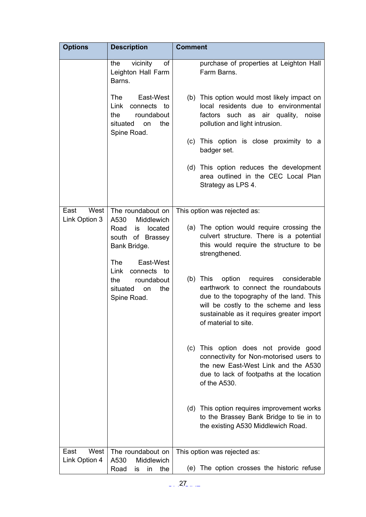| <b>Options</b> | <b>Description</b>                                                                                   | <b>Comment</b>                                                                                                                                                                                                                               |
|----------------|------------------------------------------------------------------------------------------------------|----------------------------------------------------------------------------------------------------------------------------------------------------------------------------------------------------------------------------------------------|
|                | vicinity<br>of<br>the<br>Leighton Hall Farm<br>Barns.                                                | purchase of properties at Leighton Hall<br>Farm Barns.                                                                                                                                                                                       |
|                | The<br>East-West<br>Link<br>connects to<br>roundabout<br>the<br>the<br>situated<br>on<br>Spine Road. | (b) This option would most likely impact on<br>local residents due to environmental<br>factors<br>such as air quality,<br>noise<br>pollution and light intrusion.                                                                            |
|                |                                                                                                      | (c) This option is close proximity to a<br>badger set.                                                                                                                                                                                       |
|                |                                                                                                      | (d) This option reduces the development<br>area outlined in the CEC Local Plan<br>Strategy as LPS 4.                                                                                                                                         |
| West<br>East   | The roundabout on                                                                                    | This option was rejected as:                                                                                                                                                                                                                 |
| Link Option 3  | Middlewich<br>A530<br>Road<br>is located<br>south of Brassey<br>Bank Bridge.<br>The<br>East-West     | (a) The option would require crossing the<br>culvert structure. There is a potential<br>this would require the structure to be<br>strengthened.                                                                                              |
|                | Link<br>connects to<br>roundabout<br>the<br>situated<br>the<br>on<br>Spine Road.                     | option<br>requires considerable<br>(b) This<br>earthwork to connect the roundabouts<br>due to the topography of the land. This<br>will be costly to the scheme and less<br>sustainable as it requires greater import<br>of material to site. |
|                |                                                                                                      | (c) This option does not provide good<br>connectivity for Non-motorised users to<br>the new East-West Link and the A530<br>due to lack of footpaths at the location<br>of the A530.                                                          |
|                |                                                                                                      | (d) This option requires improvement works<br>to the Brassey Bank Bridge to tie in to<br>the existing A530 Middlewich Road.                                                                                                                  |
| West<br>East   | The roundabout on                                                                                    | This option was rejected as:                                                                                                                                                                                                                 |
| Link Option 4  | Middlewich<br>A530<br>Road<br>the<br>in<br>is                                                        | (e) The option crosses the historic refuse                                                                                                                                                                                                   |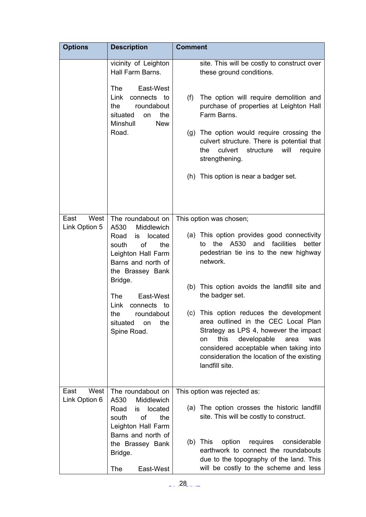| <b>Options</b>                | <b>Description</b>                                                                                                                                                                                                                                                                      | <b>Comment</b>                                                                                                                                                                                                                                                                                                                                                                                                                                                                                                                     |
|-------------------------------|-----------------------------------------------------------------------------------------------------------------------------------------------------------------------------------------------------------------------------------------------------------------------------------------|------------------------------------------------------------------------------------------------------------------------------------------------------------------------------------------------------------------------------------------------------------------------------------------------------------------------------------------------------------------------------------------------------------------------------------------------------------------------------------------------------------------------------------|
|                               | vicinity of Leighton<br>Hall Farm Barns.<br>East-West<br><b>The</b><br>Link<br>connects to<br>the<br>roundabout<br>the<br>situated<br>on<br>Minshull<br><b>New</b><br>Road.                                                                                                             | site. This will be costly to construct over<br>these ground conditions.<br>The option will require demolition and<br>(f)<br>purchase of properties at Leighton Hall<br>Farm Barns.<br>(g) The option would require crossing the<br>culvert structure. There is potential that<br>culvert<br>structure<br>will<br>the<br>require<br>strengthening.<br>(h) This option is near a badger set.                                                                                                                                         |
|                               |                                                                                                                                                                                                                                                                                         |                                                                                                                                                                                                                                                                                                                                                                                                                                                                                                                                    |
| West<br>East<br>Link Option 5 | The roundabout on<br>A530<br>Middlewich<br>located<br>Road<br>is<br>of<br>south<br>the<br>Leighton Hall Farm<br>Barns and north of<br>the Brassey Bank<br>Bridge.<br><b>The</b><br>East-West<br>Link<br>connects to<br>the<br>roundabout<br>situated<br>the<br><b>on</b><br>Spine Road. | This option was chosen;<br>(a) This option provides good connectivity<br>facilities<br>the<br>A530<br>and<br>better<br>to<br>pedestrian tie ins to the new highway<br>network.<br>(b) This option avoids the landfill site and<br>the badger set.<br>(c) This option reduces the development<br>area outlined in the CEC Local Plan<br>Strategy as LPS 4, however the impact<br>this<br>developable<br>was<br>area<br>on<br>considered acceptable when taking into<br>consideration the location of the existing<br>landfill site. |
| West<br>East<br>Link Option 6 | The roundabout on<br>Middlewich<br>A530<br>Road<br>is located<br>of<br>the<br>south<br>Leighton Hall Farm<br>Barns and north of<br>the Brassey Bank<br>Bridge.<br>The<br>East-West                                                                                                      | This option was rejected as:<br>(a) The option crosses the historic landfill<br>site. This will be costly to construct.<br>$(b)$ This<br>option<br>requires<br>considerable<br>earthwork to connect the roundabouts<br>due to the topography of the land. This<br>will be costly to the scheme and less                                                                                                                                                                                                                            |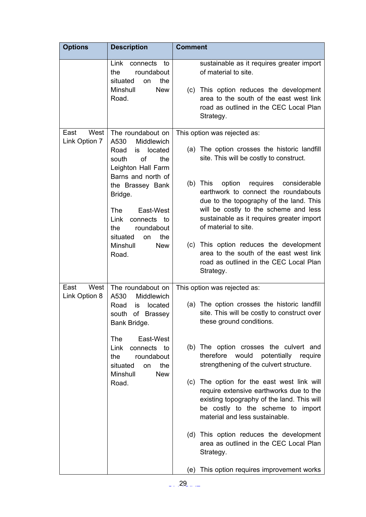| <b>Options</b>                | <b>Description</b>                                                                                                     | <b>Comment</b>                                                                                                                                                                                             |
|-------------------------------|------------------------------------------------------------------------------------------------------------------------|------------------------------------------------------------------------------------------------------------------------------------------------------------------------------------------------------------|
|                               | Link<br>connects<br>to<br>roundabout<br>the<br>situated<br>the<br>on                                                   | sustainable as it requires greater import<br>of material to site.                                                                                                                                          |
|                               | Minshull<br><b>New</b><br>Road.                                                                                        | (c) This option reduces the development<br>area to the south of the east west link<br>road as outlined in the CEC Local Plan<br>Strategy.                                                                  |
| West<br>East<br>Link Option 7 | The roundabout on<br>A530<br>Middlewich                                                                                | This option was rejected as:                                                                                                                                                                               |
|                               | Road<br>located<br>is<br><b>of</b><br>south<br>the<br>Leighton Hall Farm                                               | (a) The option crosses the historic landfill<br>site. This will be costly to construct.                                                                                                                    |
|                               | Barns and north of<br>the Brassey Bank<br>Bridge.                                                                      | $(b)$ This<br>option<br>requires considerable<br>earthwork to connect the roundabouts<br>due to the topography of the land. This                                                                           |
|                               | <b>The</b><br>East-West<br>Link<br>connects<br>to<br>roundabout<br>the<br>situated<br>the<br><b>on</b>                 | will be costly to the scheme and less<br>sustainable as it requires greater import<br>of material to site.                                                                                                 |
|                               | Minshull<br><b>New</b><br>Road.                                                                                        | (c) This option reduces the development<br>area to the south of the east west link<br>road as outlined in the CEC Local Plan<br>Strategy.                                                                  |
| East<br>West                  | The roundabout on                                                                                                      | This option was rejected as:                                                                                                                                                                               |
| Link Option 8                 | A530<br>Middlewich<br>Road<br>located<br>is<br>of Brassey<br>south<br>Bank Bridge.                                     | (a) The option crosses the historic landfill<br>site. This will be costly to construct over<br>these ground conditions.                                                                                    |
|                               | <b>The</b><br>East-West<br>Link<br>connects to<br>roundabout<br>the<br>situated<br>the<br>on<br>Minshull<br><b>New</b> | (b) The option crosses the culvert and<br>therefore<br>would<br>potentially<br>require<br>strengthening of the culvert structure.                                                                          |
|                               | Road.                                                                                                                  | (c) The option for the east west link will<br>require extensive earthworks due to the<br>existing topography of the land. This will<br>be costly to the scheme to import<br>material and less sustainable. |
|                               |                                                                                                                        | (d) This option reduces the development<br>area as outlined in the CEC Local Plan<br>Strategy.                                                                                                             |
|                               |                                                                                                                        | This option requires improvement works<br>(e)                                                                                                                                                              |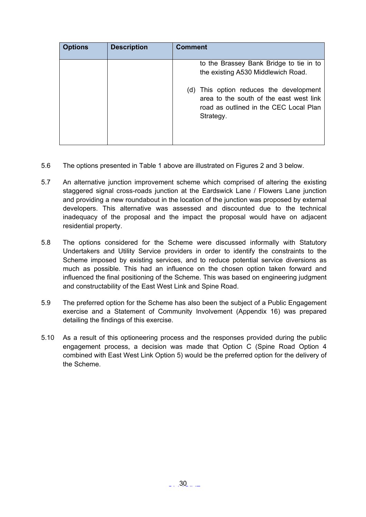| <b>Options</b> | <b>Description</b> | <b>Comment</b>                                                                                                                            |
|----------------|--------------------|-------------------------------------------------------------------------------------------------------------------------------------------|
|                |                    | to the Brassey Bank Bridge to tie in to<br>the existing A530 Middlewich Road.                                                             |
|                |                    | (d) This option reduces the development<br>area to the south of the east west link<br>road as outlined in the CEC Local Plan<br>Strategy. |

- 5.6 The options presented in Table 1 above are illustrated on Figures 2 and 3 below.
- 5.7 An alternative junction improvement scheme which comprised of altering the existing staggered signal cross-roads junction at the Eardswick Lane / Flowers Lane junction and providing a new roundabout in the location of the junction was proposed by external developers. This alternative was assessed and discounted due to the technical inadequacy of the proposal and the impact the proposal would have on adjacent residential property.
- 5.8 The options considered for the Scheme were discussed informally with Statutory Undertakers and Utility Service providers in order to identify the constraints to the Scheme imposed by existing services, and to reduce potential service diversions as much as possible. This had an influence on the chosen option taken forward and influenced the final positioning of the Scheme. This was based on engineering judgment and constructability of the East West Link and Spine Road.
- 5.9 The preferred option for the Scheme has also been the subject of a Public Engagement exercise and a Statement of Community Involvement (Appendix 16) was prepared detailing the findings of this exercise.
- 5.10 As a result of this optioneering process and the responses provided during the public engagement process, a decision was made that Option C (Spine Road Option 4 combined with East West Link Option 5) would be the preferred option for the delivery of the Scheme.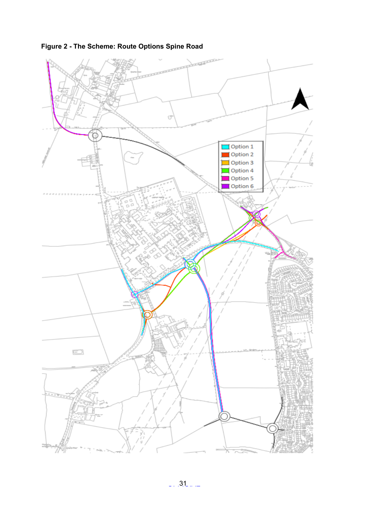

**Figure 2 - The Scheme: Route Options Spine Road**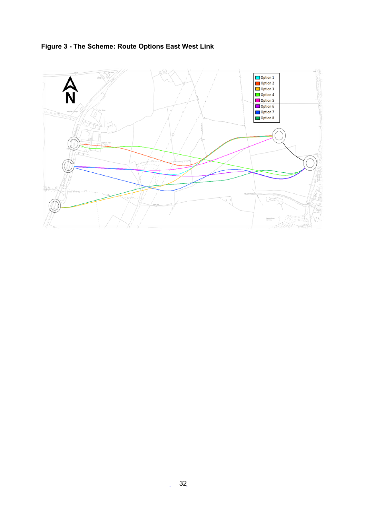

<span id="page-31-0"></span> $\mathcal{L}_{\mathcal{L}_{\mathcal{L}}}$ 

G

Ventre Breit<br>Censiony

 $\sqrt{6}$ 

慈禧

 $\epsilon$ 

**Figure 3 - The Scheme: Route Options East West Link**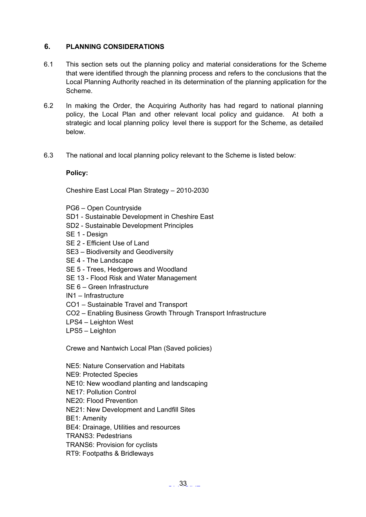# **6. PLANNING CONSIDERATIONS**

- 6.1 This section sets out the planning policy and material considerations for the Scheme that were identified through the planning process and refers to the conclusions that the Local Planning Authority reached in its determination of the planning application for the Scheme.
- 6.2 In making the Order, the Acquiring Authority has had regard to national planning policy, the Local Plan and other relevant local policy and guidance. At both a strategic and local planning policy level there is support for the Scheme, as detailed below.
- 6.3 The national and local planning policy relevant to the Scheme is listed below:

#### **Policy:**

Cheshire East Local Plan Strategy – 2010-2030

- PG6 Open Countryside
- SD1 Sustainable Development in Cheshire East
- SD2 Sustainable Development Principles
- SE 1 Design
- SE 2 Efficient Use of Land
- SE3 Biodiversity and Geodiversity
- SE 4 The Landscape
- SE 5 Trees, Hedgerows and Woodland
- SE 13 Flood Risk and Water Management
- SE 6 Green Infrastructure
- IN1 Infrastructure
- CO1 Sustainable Travel and Transport
- CO2 Enabling Business Growth Through Transport Infrastructure
- LPS4 Leighton West
- LPS5 Leighton

Crewe and Nantwich Local Plan (Saved policies)

NE5: Nature Conservation and Habitats

- NE9: Protected Species
- NE10: New woodland planting and landscaping
- NE17: Pollution Control
- NE20: Flood Prevention
- NE21: New Development and Landfill Sites
- BE1: Amenity
- BE4: Drainage, Utilities and resources
- TRANS3: Pedestrians
- TRANS6: Provision for cyclists
- RT9: Footpaths & Bridleways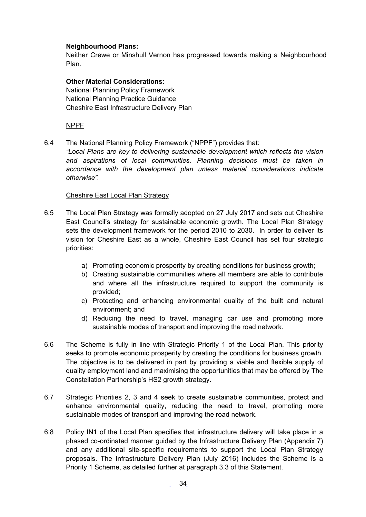#### **Neighbourhood Plans:**

Neither Crewe or Minshull Vernon has progressed towards making a Neighbourhood Plan.

**Other Material Considerations:** National Planning Policy Framework National Planning Practice Guidance Cheshire East Infrastructure Delivery Plan

NPPF

6.4 The National Planning Policy Framework ("NPPF") provides that:

*"Local Plans are key to delivering sustainable development which reflects the vision and aspirations of local communities. Planning decisions must be taken in accordance with the development plan unless material considerations indicate otherwise".*

#### Cheshire East Local Plan Strategy

- 6.5 The Local Plan Strategy was formally adopted on 27 July 2017 and sets out Cheshire East Council's strategy for sustainable economic growth. The Local Plan Strategy sets the development framework for the period 2010 to 2030. In order to deliver its vision for Cheshire East as a whole, Cheshire East Council has set four strategic priorities:
	- a) Promoting economic prosperity by creating conditions for business growth;
	- b) Creating sustainable communities where all members are able to contribute and where all the infrastructure required to support the community is provided;
	- c) Protecting and enhancing environmental quality of the built and natural environment; and
	- d) Reducing the need to travel, managing car use and promoting more sustainable modes of transport and improving the road network.
- 6.6 The Scheme is fully in line with Strategic Priority 1 of the Local Plan. This priority seeks to promote economic prosperity by creating the conditions for business growth. The objective is to be delivered in part by providing a viable and flexible supply of quality employment land and maximising the opportunities that may be offered by The Constellation Partnership's HS2 growth strategy.
- 6.7 Strategic Priorities 2, 3 and 4 seek to create sustainable communities, protect and enhance environmental quality, reducing the need to travel, promoting more sustainable modes of transport and improving the road network.
- 6.8 Policy IN1 of the Local Plan specifies that infrastructure delivery will take place in a phased co-ordinated manner guided by the Infrastructure Delivery Plan (Appendix 7) and any additional site-specific requirements to support the Local Plan Strategy proposals. The Infrastructure Delivery Plan (July 2016) includes the Scheme is a Priority 1 Scheme, as detailed further at paragraph 3.3 of this Statement.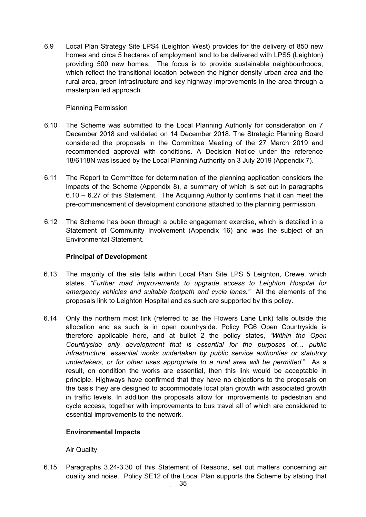6.9 Local Plan Strategy Site LPS4 (Leighton West) provides for the delivery of 850 new homes and circa 5 hectares of employment land to be delivered with LPS5 (Leighton) providing 500 new homes. The focus is to provide sustainable neighbourhoods, which reflect the transitional location between the higher density urban area and the rural area, green infrastructure and key highway improvements in the area through a masterplan led approach.

### Planning Permission

- 6.10 The Scheme was submitted to the Local Planning Authority for consideration on 7 December 2018 and validated on 14 December 2018. The Strategic Planning Board considered the proposals in the Committee Meeting of the 27 March 2019 and recommended approval with conditions. A Decision Notice under the reference 18/6118N was issued by the Local Planning Authority on 3 July 2019 (Appendix 7).
- 6.11 The Report to Committee for determination of the planning application considers the impacts of the Scheme (Appendix 8), a summary of which is set out in paragraphs 6.10 – 6.27 of this Statement. The Acquiring Authority confirms that it can meet the pre-commencement of development conditions attached to the planning permission.
- 6.12 The Scheme has been through a public engagement exercise, which is detailed in a Statement of Community Involvement (Appendix 16) and was the subject of an Environmental Statement.

# **Principal of Development**

- 6.13 The majority of the site falls within Local Plan Site LPS 5 Leighton, Crewe, which states, *"Further road improvements to upgrade access to Leighton Hospital for emergency vehicles and suitable footpath and cycle lanes."* All the elements of the proposals link to Leighton Hospital and as such are supported by this policy.
- 6.14 Only the northern most link (referred to as the Flowers Lane Link) falls outside this allocation and as such is in open countryside. Policy PG6 Open Countryside is therefore applicable here, and at bullet 2 the policy states, *"Within the Open Countryside only development that is essential for the purposes of… public infrastructure, essential works undertaken by public service authorities or statutory undertakers, or for other uses appropriate to a rural area will be permitted*." As a result, on condition the works are essential, then this link would be acceptable in principle. Highways have confirmed that they have no objections to the proposals on the basis they are designed to accommodate local plan growth with associated growth in traffic levels. In addition the proposals allow for improvements to pedestrian and cycle access, together with improvements to bus travel all of which are considered to essential improvements to the network.

# **Environmental Impacts**

# Air Quality

6.15 Paragraphs 3.24-3.30 of this Statement of Reasons, set out matters concerning air quality and noise. Policy SE12 of the Local Plan supports the Scheme by stating that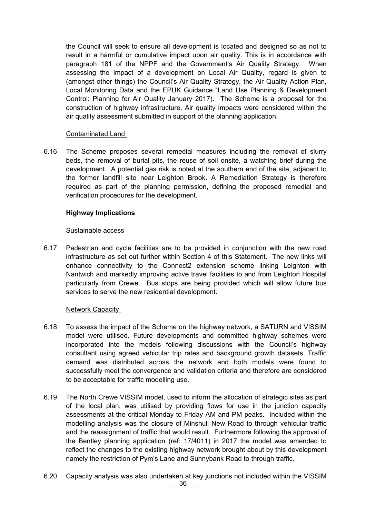the Council will seek to ensure all development is located and designed so as not to result in a harmful or cumulative impact upon air quality. This is in accordance with paragraph 181 of the NPPF and the Government's Air Quality Strategy. When assessing the impact of a development on Local Air Quality, regard is given to (amongst other things) the Council's Air Quality Strategy, the Air Quality Action Plan, Local Monitoring Data and the EPUK Guidance "Land Use Planning & Development Control: Planning for Air Quality January 2017). The Scheme is a proposal for the construction of highway infrastructure. Air quality impacts were considered within the air quality assessment submitted in support of the planning application.

#### Contaminated Land

6.16 The Scheme proposes several remedial measures including the removal of slurry beds, the removal of burial pits, the reuse of soil onsite, a watching brief during the development. A potential gas risk is noted at the southern end of the site, adjacent to the former landfill site near Leighton Brook. A Remediation Strategy is therefore required as part of the planning permission, defining the proposed remedial and verification procedures for the development.

### **Highway Implications**

#### Sustainable access

6.17 Pedestrian and cycle facilities are to be provided in conjunction with the new road infrastructure as set out further within Section 4 of this Statement. The new links will enhance connectivity to the Connect2 extension scheme linking Leighton with Nantwich and markedly improving active travel facilities to and from Leighton Hospital particularly from Crewe. Bus stops are being provided which will allow future bus services to serve the new residential development.

#### **Network Capacity**

- 6.18 To assess the impact of the Scheme on the highway network, a SATURN and VISSIM model were utilised. Future developments and committed highway schemes were incorporated into the models following discussions with the Council's highway consultant using agreed vehicular trip rates and background growth datasets. Traffic demand was distributed across the network and both models were found to successfully meet the convergence and validation criteria and therefore are considered to be acceptable for traffic modelling use.
- 6.19 The North Crewe VISSIM model, used to inform the allocation of strategic sites as part of the local plan, was utilised by providing flows for use in the junction capacity assessments at the critical Monday to Friday AM and PM peaks. Included within the modelling analysis was the closure of Minshull New Road to through vehicular traffic and the reassignment of traffic that would result. Furthermore following the approval of the Bentley planning application (ref: 17/4011) in 2017 the model was amended to reflect the changes to the existing highway network brought about by this development namely the restriction of Pym's Lane and Sunnybank Road to through traffic.
- $-.36...$ 6.20 Capacity analysis was also undertaken at key junctions not included within the VISSIM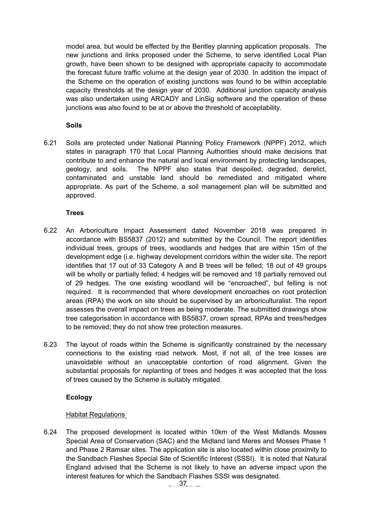model area, but would be effected by the Bentley planning application proposals. The new junctions and links proposed under the Scheme, to serve identified Local Plan growth, have been shown to be designed with appropriate capacity to accommodate the forecast future traffic volume at the design year of 2030. In addition the impact of the Scheme on the operation of existing junctions was found to be within acceptable capacity thresholds at the design year of 2030. Additional junction capacity analysis was also undertaken using ARCADY and LinSig software and the operation of these junctions was also found to be at or above the threshold of acceptability.

# **Soils**

6.21 Soils are protected under National Planning Policy Framework (NPPF) 2012, which states in paragraph 170 that Local Planning Authorities should make decisions that contribute to and enhance the natural and local environment by protecting landscapes, geology, and soils. The NPPF also states that despoiled, degraded, derelict, contaminated and unstable land should be remediated and mitigated where appropriate. As part of the Scheme, a soil management plan will be submitted and approved.

### **Trees**

- 6.22 An Arboriculture Impact Assessment dated November 2018 was prepared in accordance with BS5837 (2012) and submitted by the Council. The report identifies individual trees, groups of trees, woodlands and hedges that are within 15m of the development edge (i.e. highway development corridors within the wider site. The report identifies that 17 out of 33 Category A and B trees will be felled; 18 out of 49 groups will be wholly or partially felled; 4 hedges will be removed and 18 partially removed out of 29 hedges. The one existing woodland will be "encroached", but felling is not required. It is recommended that where development encroaches on root protection areas (RPA) the work on site should be supervised by an arboriculturalist. The report assesses the overall impact on trees as being moderate. The submitted drawings show tree categorisation in accordance with BS5837, crown spread, RPAs and trees/hedges to be removed; they do not show tree protection measures.
- 6.23 The layout of roads within the Scheme is significantly constrained by the necessary connections to the existing road network. Most, if not all, of the tree losses are unavoidable without an unacceptable contortion of road alignment. Given the substantial proposals for replanting of trees and hedges it was accepted that the loss of trees caused by the Scheme is suitably mitigated.

# **Ecology**

# Habitat Regulations

6.24 The proposed development is located within 10km of the West Midlands Mosses Special Area of Conservation (SAC) and the Midland land Meres and Mosses Phase 1 and Phase 2 Ramsar sites. The application site is also located within close proximity to the Sandbach Flashes Special Site of Scientific Interest (SSSI). It is noted that Natural England advised that the Scheme is not likely to have an adverse impact upon the interest features for which the Sandbach Flashes SSSI was designated.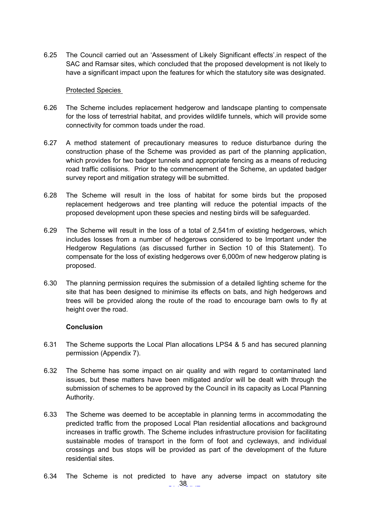6.25 The Council carried out an 'Assessment of Likely Significant effects'.in respect of the SAC and Ramsar sites, which concluded that the proposed development is not likely to have a significant impact upon the features for which the statutory site was designated.

#### Protected Species

- 6.26 The Scheme includes replacement hedgerow and landscape planting to compensate for the loss of terrestrial habitat, and provides wildlife tunnels, which will provide some connectivity for common toads under the road.
- 6.27 A method statement of precautionary measures to reduce disturbance during the construction phase of the Scheme was provided as part of the planning application, which provides for two badger tunnels and appropriate fencing as a means of reducing road traffic collisions. Prior to the commencement of the Scheme, an updated badger survey report and mitigation strategy will be submitted.
- 6.28 The Scheme will result in the loss of habitat for some birds but the proposed replacement hedgerows and tree planting will reduce the potential impacts of the proposed development upon these species and nesting birds will be safeguarded.
- 6.29 The Scheme will result in the loss of a total of 2,541m of existing hedgerows, which includes losses from a number of hedgerows considered to be Important under the Hedgerow Regulations (as discussed further in Section 10 of this Statement). To compensate for the loss of existing hedgerows over 6,000m of new hedgerow plating is proposed.
- 6.30 The planning permission requires the submission of a detailed lighting scheme for the site that has been designed to minimise its effects on bats, and high hedgerows and trees will be provided along the route of the road to encourage barn owls to fly at height over the road.

#### **Conclusion**

- 6.31 The Scheme supports the Local Plan allocations LPS4 & 5 and has secured planning permission (Appendix 7).
- 6.32 The Scheme has some impact on air quality and with regard to contaminated land issues, but these matters have been mitigated and/or will be dealt with through the submission of schemes to be approved by the Council in its capacity as Local Planning Authority.
- 6.33 The Scheme was deemed to be acceptable in planning terms in accommodating the predicted traffic from the proposed Local Plan residential allocations and background increases in traffic growth. The Scheme includes infrastructure provision for facilitating sustainable modes of transport in the form of foot and cycleways, and individual crossings and bus stops will be provided as part of the development of the future residential sites.
- $\ldots$  38  $\ldots$ 6.34 The Scheme is not predicted to have any adverse impact on statutory site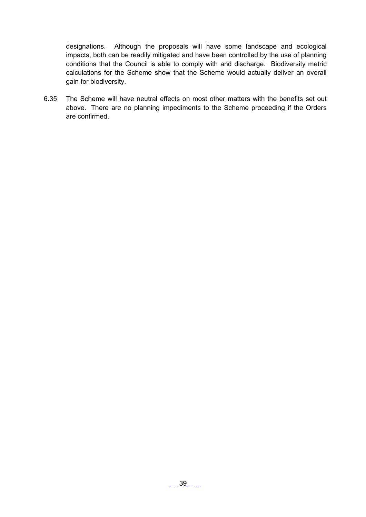designations. Although the proposals will have some landscape and ecological impacts, both can be readily mitigated and have been controlled by the use of planning conditions that the Council is able to comply with and discharge. Biodiversity metric calculations for the Scheme show that the Scheme would actually deliver an overall gain for biodiversity.

6.35 The Scheme will have neutral effects on most other matters with the benefits set out above. There are no planning impediments to the Scheme proceeding if the Orders are confirmed.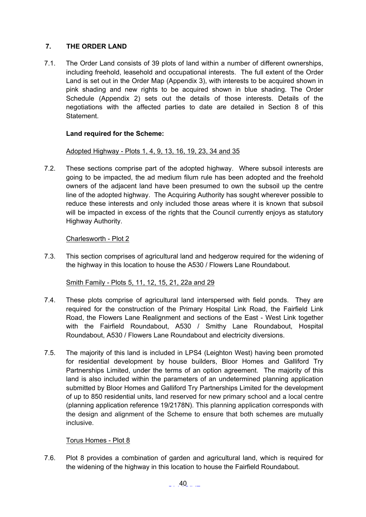# <span id="page-39-0"></span>**7. THE ORDER LAND**

7.1. The Order Land consists of 39 plots of land within a number of different ownerships, including freehold, leasehold and occupational interests. The full extent of the Order Land is set out in the Order Map (Appendix 3), with interests to be acquired shown in pink shading and new rights to be acquired shown in blue shading. The Order Schedule (Appendix 2) sets out the details of those interests. Details of the negotiations with the affected parties to date are detailed in Section 8 of this Statement.

# **Land required for the Scheme:**

# Adopted Highway - Plots 1, 4, 9, 13, 16, 19, 23, 34 and 35

7.2. These sections comprise part of the adopted highway. Where subsoil interests are going to be impacted, the ad medium filum rule has been adopted and the freehold owners of the adjacent land have been presumed to own the subsoil up the centre line of the adopted highway. The Acquiring Authority has sought wherever possible to reduce these interests and only included those areas where it is known that subsoil will be impacted in excess of the rights that the Council currently enjoys as statutory Highway Authority.

# Charlesworth - Plot 2

7.3. This section comprises of agricultural land and hedgerow required for the widening of the highway in this location to house the A530 / Flowers Lane Roundabout.

# Smith Family - Plots 5, 11, 12, 15, 21, 22a and 29

- 7.4. These plots comprise of agricultural land interspersed with field ponds. They are required for the construction of the Primary Hospital Link Road, the Fairfield Link Road, the Flowers Lane Realignment and sections of the East - West Link together with the Fairfield Roundabout, A530 / Smithy Lane Roundabout, Hospital Roundabout, A530 / Flowers Lane Roundabout and electricity diversions.
- 7.5. The majority of this land is included in LPS4 (Leighton West) having been promoted for residential development by house builders, Bloor Homes and Galliford Try Partnerships Limited, under the terms of an option agreement. The majority of this land is also included within the parameters of an undetermined planning application submitted by Bloor Homes and Galliford Try Partnerships Limited for the development of up to 850 residential units, land reserved for new primary school and a local centre (planning application reference 19/2178N). This planning application corresponds with the design and alignment of the Scheme to ensure that both schemes are mutually inclusive.

# Torus Homes - Plot 8

7.6. Plot 8 provides a combination of garden and agricultural land, which is required for the widening of the highway in this location to house the Fairfield Roundabout.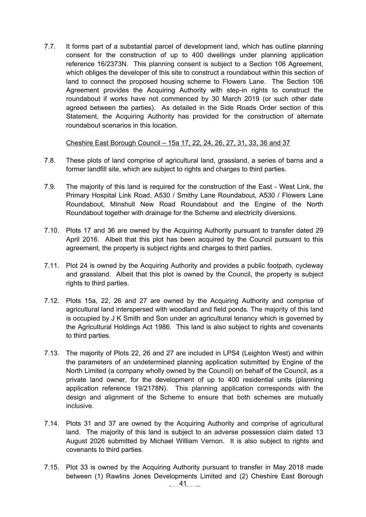7.7. It forms part of a substantial parcel of development land, which has outline planning consent for the construction of up to 400 dwellings under planning application reference 16/2373N. This planning consent is subject to a Section 106 Agreement, which obliges the developer of this site to construct a roundabout within this section of land to connect the proposed housing scheme to Flowers Lane. The Section 106 Agreement provides the Acquiring Authority with step-in rights to construct the roundabout if works have not commenced by 30 March 2019 (or such other date agreed between the parties). As detailed in the Side Roads Order section of this Statement, the Acquiring Authority has provided for the construction of alternate roundabout scenarios in this location.

Cheshire East Borough Council – 15a 17, 22, 24, 26, 27, 31, 33, 36 and 37

- 7.8. These plots of land comprise of agricultural land, grassland, a series of barns and a former landfill site, which are subject to rights and charges to third parties.
- 7.9. The majority of this land is required for the construction of the East West Link, the Primary Hospital Link Road, A530 / Smithy Lane Roundabout, A530 / Flowers Lane Roundabout, Minshull New Road Roundabout and the Engine of the North Roundabout together with drainage for the Scheme and electricity diversions.
- 7.10. Plots 17 and 36 are owned by the Acquiring Authority pursuant to transfer dated 29 April 2016. Albeit that this plot has been acquired by the Council pursuant to this agreement, the property is subject rights and charges to third parties.
- 7.11. Plot 24 is owned by the Acquiring Authority and provides a public footpath, cycleway and grassland. Albeit that this plot is owned by the Council, the property is subject rights to third parties.
- 7.12. Plots 15a, 22, 26 and 27 are owned by the Acquiring Authority and comprise of agricultural land interspersed with woodland and field ponds. The majority of this land is occupied by J K Smith and Son under an agricultural tenancy which is governed by the Agricultural Holdings Act 1986. This land is also subject to rights and covenants to third parties.
- 7.13. The majority of Plots 22, 26 and 27 are included in LPS4 (Leighton West) and within the parameters of an undetermined planning application submitted by Engine of the North Limited (a company wholly owned by the Council) on behalf of the Council, as a private land owner, for the development of up to 400 residential units (planning application reference 19/2178N). This planning application corresponds with the design and alignment of the Scheme to ensure that both schemes are mutually inclusive.
- 7.14. Plots 31 and 37 are owned by the Acquiring Authority and comprise of agricultural land. The majority of this land is subject to an adverse possession claim dated 13 August 2026 submitted by Michael William Vernon. It is also subject to rights and covenants to third parties.
- 7.15. Plot 33 is owned by the Acquiring Authority pursuant to transfer in May 2018 made between (1) Rawlins Jones Developments Limited and (2) Cheshire East Borough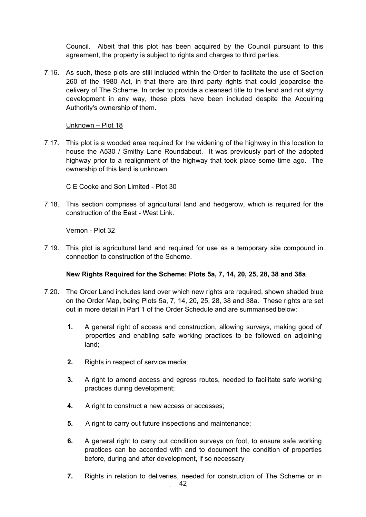Council. Albeit that this plot has been acquired by the Council pursuant to this agreement, the property is subject to rights and charges to third parties.

7.16. As such, these plots are still included within the Order to facilitate the use of Section 260 of the 1980 Act, in that there are third party rights that could jeopardise the delivery of The Scheme. In order to provide a cleansed title to the land and not stymy development in any way, these plots have been included despite the Acquiring Authority's ownership of them.

#### Unknown – Plot 18

7.17. This plot is a wooded area required for the widening of the highway in this location to house the A530 / Smithy Lane Roundabout. It was previously part of the adopted highway prior to a realignment of the highway that took place some time ago. The ownership of this land is unknown.

# C E Cooke and Son Limited - Plot 30

7.18. This section comprises of agricultural land and hedgerow, which is required for the construction of the East - West Link.

### Vernon - Plot 32

7.19. This plot is agricultural land and required for use as a temporary site compound in connection to construction of the Scheme.

# **New Rights Required for the Scheme: Plots 5a, 7, 14, 20, 25, 28, 38 and 38a**

- 7.20. The Order Land includes land over which new rights are required, shown shaded blue on the Order Map, being Plots 5a, 7, 14, 20, 25, 28, 38 and 38a. These rights are set out in more detail in Part 1 of the Order Schedule and are summarised below:
	- **1.** A general right of access and construction, allowing surveys, making good of properties and enabling safe working practices to be followed on adjoining land;
	- **2.** Rights in respect of service media;
	- **3.** A right to amend access and egress routes, needed to facilitate safe working practices during development;
	- **4.** A right to construct a new access or accesses;
	- **5.** A right to carry out future inspections and maintenance;
	- **6.** A general right to carry out condition surveys on foot, to ensure safe working practices can be accorded with and to document the condition of properties before, during and after development, if so necessary
	- $-.42...$ **7.** Rights in relation to deliveries, needed for construction of The Scheme or in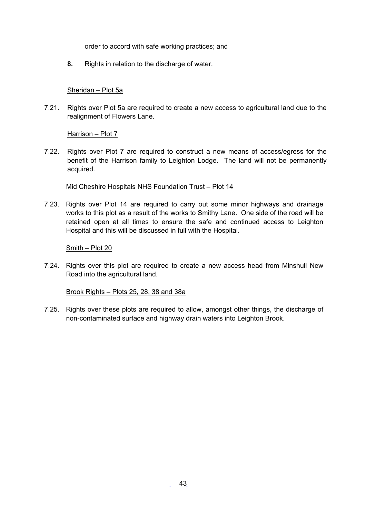order to accord with safe working practices; and

**8.** Rights in relation to the discharge of water.

### Sheridan – Plot 5a

7.21. Rights over Plot 5a are required to create a new access to agricultural land due to the realignment of Flowers Lane.

Harrison – Plot 7

7.22. Rights over Plot 7 are required to construct a new means of access/egress for the benefit of the Harrison family to Leighton Lodge. The land will not be permanently acquired.

#### Mid Cheshire Hospitals NHS Foundation Trust – Plot 14

7.23. Rights over Plot 14 are required to carry out some minor highways and drainage works to this plot as a result of the works to Smithy Lane. One side of the road will be retained open at all times to ensure the safe and continued access to Leighton Hospital and this will be discussed in full with the Hospital.

Smith – Plot 20

7.24. Rights over this plot are required to create a new access head from Minshull New Road into the agricultural land.

Brook Rights – Plots 25, 28, 38 and 38a

7.25. Rights over these plots are required to allow, amongst other things, the discharge of non-contaminated surface and highway drain waters into Leighton Brook.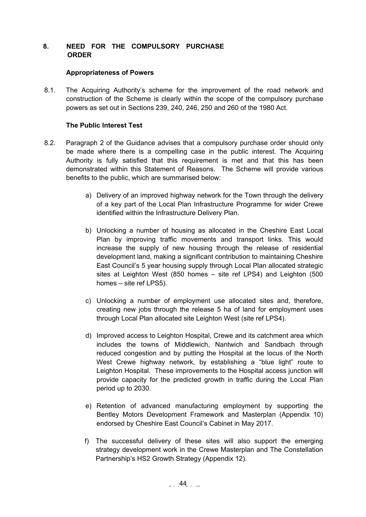# <span id="page-43-0"></span>**8. NEED FOR THE COMPULSORY PURCHASE ORDER**

#### **Appropriateness of Powers**

8.1. The Acquiring Authority's scheme for the improvement of the road network and construction of the Scheme is clearly within the scope of the compulsory purchase powers as set out in Sections 239, 240, 246, 250 and 260 of the 1980 Act.

### **The Public Interest Test**

- 8.2. Paragraph 2 of the Guidance advises that a compulsory purchase order should only be made where there is a compelling case in the public interest. The Acquiring Authority is fully satisfied that this requirement is met and that this has been demonstrated within this Statement of Reasons. The Scheme will provide various benefits to the public, which are summarised below:
	- a) Delivery of an improved highway network for the Town through the delivery of a key part of the Local Plan Infrastructure Programme for wider Crewe identified within the Infrastructure Delivery Plan.
	- b) Unlocking a number of housing as allocated in the Cheshire East Local Plan by improving traffic movements and transport links. This would increase the supply of new housing through the release of residential development land, making a significant contribution to maintaining Cheshire East Council's 5 year housing supply through Local Plan allocated strategic sites at Leighton West (850 homes – site ref LPS4) and Leighton (500 homes – site ref LPS5).
	- c) Unlocking a number of employment use allocated sites and, therefore, creating new jobs through the release 5 ha of land for employment uses through Local Plan allocated site Leighton West (site ref LPS4).
	- d) Improved access to Leighton Hospital, Crewe and its catchment area which includes the towns of Middlewich, Nantwich and Sandbach through reduced congestion and by putting the Hospital at the locus of the North West Crewe highway network, by establishing a "blue light" route to Leighton Hospital. These improvements to the Hospital access junction will provide capacity for the predicted growth in traffic during the Local Plan period up to 2030.
	- e) Retention of advanced manufacturing employment by supporting the Bentley Motors Development Framework and Masterplan (Appendix 10) endorsed by Cheshire East Council's Cabinet in May 2017.
	- f) The successful delivery of these sites will also support the emerging strategy development work in the Crewe Masterplan and The Constellation Partnership's HS2 Growth Strategy (Appendix 12).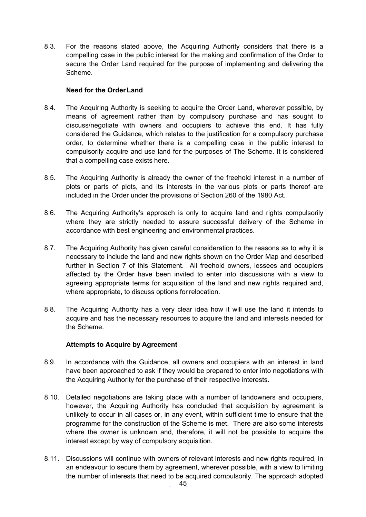8.3. For the reasons stated above, the Acquiring Authority considers that there is a compelling case in the public interest for the making and confirmation of the Order to secure the Order Land required for the purpose of implementing and delivering the Scheme.

### **Need for the Order Land**

- 8.4. The Acquiring Authority is seeking to acquire the Order Land, wherever possible, by means of agreement rather than by compulsory purchase and has sought to discuss/negotiate with owners and occupiers to achieve this end. It has fully considered the Guidance, which relates to the justification for a compulsory purchase order, to determine whether there is a compelling case in the public interest to compulsorily acquire and use land for the purposes of The Scheme. It is considered that a compelling case exists here.
- 8.5. The Acquiring Authority is already the owner of the freehold interest in a number of plots or parts of plots, and its interests in the various plots or parts thereof are included in the Order under the provisions of Section 260 of the 1980 Act.
- 8.6. The Acquiring Authority's approach is only to acquire land and rights compulsorily where they are strictly needed to assure successful delivery of the Scheme in accordance with best engineering and environmental practices.
- 8.7. The Acquiring Authority has given careful consideration to the reasons as to why it is necessary to include the land and new rights shown on the Order Map and described further in Section 7 of this Statement. All freehold owners, lessees and occupiers affected by the Order have been invited to enter into discussions with a view to agreeing appropriate terms for acquisition of the land and new rights required and, where appropriate, to discuss options for relocation.
- 8.8. The Acquiring Authority has a very clear idea how it will use the land it intends to acquire and has the necessary resources to acquire the land and interests needed for the Scheme.

# **Attempts to Acquire by Agreement**

- 8.9. In accordance with the Guidance, all owners and occupiers with an interest in land have been approached to ask if they would be prepared to enter into negotiations with the Acquiring Authority for the purchase of their respective interests.
- 8.10. Detailed negotiations are taking place with a number of landowners and occupiers, however, the Acquiring Authority has concluded that acquisition by agreement is unlikely to occur in all cases or, in any event, within sufficient time to ensure that the programme for the construction of the Scheme is met. There are also some interests where the owner is unknown and, therefore, it will not be possible to acquire the interest except by way of compulsory acquisition.
- 8.11. Discussions will continue with owners of relevant interests and new rights required, in an endeavour to secure them by agreement, wherever possible, with a view to limiting the number of interests that need to be acquired compulsorily. The approach adopted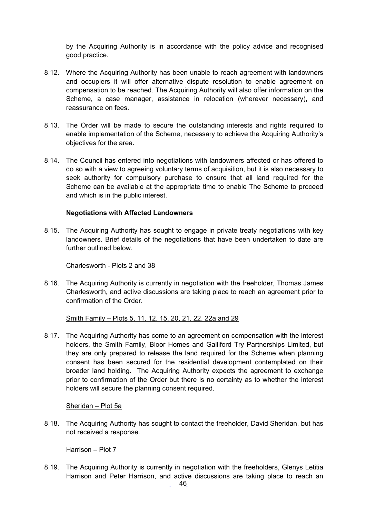by the Acquiring Authority is in accordance with the policy advice and recognised good practice.

- 8.12. Where the Acquiring Authority has been unable to reach agreement with landowners and occupiers it will offer alternative dispute resolution to enable agreement on compensation to be reached. The Acquiring Authority will also offer information on the Scheme, a case manager, assistance in relocation (wherever necessary), and reassurance on fees.
- 8.13. The Order will be made to secure the outstanding interests and rights required to enable implementation of the Scheme, necessary to achieve the Acquiring Authority's objectives for the area.
- 8.14. The Council has entered into negotiations with landowners affected or has offered to do so with a view to agreeing voluntary terms of acquisition, but it is also necessary to seek authority for compulsory purchase to ensure that all land required for the Scheme can be available at the appropriate time to enable The Scheme to proceed and which is in the public interest.

### **Negotiations with Affected Landowners**

8.15. The Acquiring Authority has sought to engage in private treaty negotiations with key landowners. Brief details of the negotiations that have been undertaken to date are further outlined below.

Charlesworth - Plots 2 and 38

8.16. The Acquiring Authority is currently in negotiation with the freeholder, Thomas James Charlesworth, and active discussions are taking place to reach an agreement prior to confirmation of the Order.

Smith Family – Plots 5, 11, 12, 15, 20, 21, 22, 22a and 29

8.17. The Acquiring Authority has come to an agreement on compensation with the interest holders, the Smith Family, Bloor Homes and Galliford Try Partnerships Limited, but they are only prepared to release the land required for the Scheme when planning consent has been secured for the residential development contemplated on their broader land holding. The Acquiring Authority expects the agreement to exchange prior to confirmation of the Order but there is no certainty as to whether the interest holders will secure the planning consent required.

Sheridan – Plot 5a

8.18. The Acquiring Authority has sought to contact the freeholder, David Sheridan, but has not received a response.

Harrison – Plot 7

8.19. The Acquiring Authority is currently in negotiation with the freeholders, Glenys Letitia Harrison and Peter Harrison, and active discussions are taking place to reach an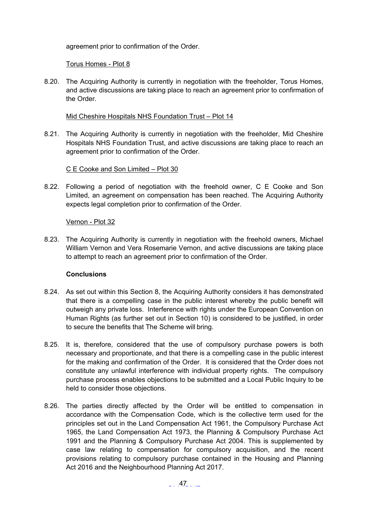agreement prior to confirmation of the Order.

Torus Homes - Plot 8

8.20. The Acquiring Authority is currently in negotiation with the freeholder, Torus Homes, and active discussions are taking place to reach an agreement prior to confirmation of the Order.

#### Mid Cheshire Hospitals NHS Foundation Trust – Plot 14

8.21. The Acquiring Authority is currently in negotiation with the freeholder, Mid Cheshire Hospitals NHS Foundation Trust, and active discussions are taking place to reach an agreement prior to confirmation of the Order.

C E Cooke and Son Limited – Plot 30

8.22. Following a period of negotiation with the freehold owner, C E Cooke and Son Limited, an agreement on compensation has been reached. The Acquiring Authority expects legal completion prior to confirmation of the Order.

### Vernon - Plot 32

8.23. The Acquiring Authority is currently in negotiation with the freehold owners, Michael William Vernon and Vera Rosemarie Vernon, and active discussions are taking place to attempt to reach an agreement prior to confirmation of the Order.

#### **Conclusions**

- 8.24. As set out within this Section 8, the Acquiring Authority considers it has demonstrated that there is a compelling case in the public interest whereby the public benefit will outweigh any private loss. Interference with rights under the European Convention on Human Rights (as further set out in Section 10) is considered to be justified, in order to secure the benefits that The Scheme will bring.
- 8.25. It is, therefore, considered that the use of compulsory purchase powers is both necessary and proportionate, and that there is a compelling case in the public interest for the making and confirmation of the Order. It is considered that the Order does not constitute any unlawful interference with individual property rights. The compulsory purchase process enables objections to be submitted and a Local Public Inquiry to be held to consider those objections.
- 8.26. The parties directly affected by the Order will be entitled to compensation in accordance with the Compensation Code, which is the collective term used for the principles set out in the Land Compensation Act 1961, the Compulsory Purchase Act 1965, the Land Compensation Act 1973, the Planning & Compulsory Purchase Act 1991 and the Planning & Compulsory Purchase Act 2004. This is supplemented by case law relating to compensation for compulsory acquisition, and the recent provisions relating to compulsory purchase contained in the Housing and Planning Act 2016 and the Neighbourhood Planning Act 2017.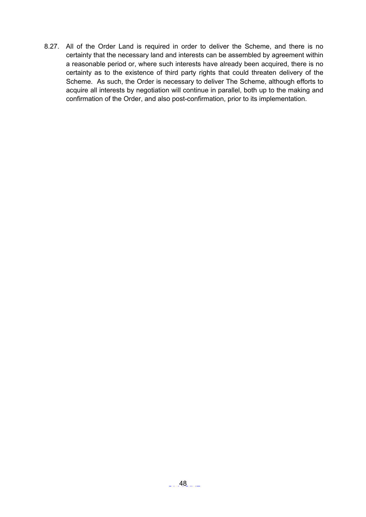8.27. All of the Order Land is required in order to deliver the Scheme, and there is no certainty that the necessary land and interests can be assembled by agreement within a reasonable period or, where such interests have already been acquired, there is no certainty as to the existence of third party rights that could threaten delivery of the Scheme. As such, the Order is necessary to deliver The Scheme, although efforts to acquire all interests by negotiation will continue in parallel, both up to the making and confirmation of the Order, and also post-confirmation, prior to its implementation.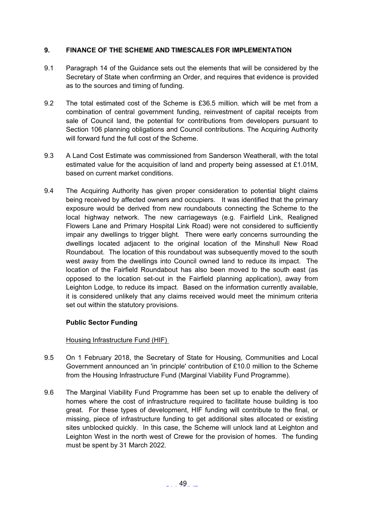# <span id="page-48-0"></span>**9. FINANCE OF THE SCHEME AND TIMESCALES FOR IMPLEMENTATION**

- 9.1 Paragraph 14 of the Guidance sets out the elements that will be considered by the Secretary of State when confirming an Order, and requires that evidence is provided as to the sources and timing of funding.
- 9.2 The total estimated cost of the Scheme is £36.5 million, which will be met from a combination of central government funding, reinvestment of capital receipts from sale of Council land, the potential for contributions from developers pursuant to Section 106 planning obligations and Council contributions. The Acquiring Authority will forward fund the full cost of the Scheme.
- 9.3 A Land Cost Estimate was commissioned from Sanderson Weatherall, with the total estimated value for the acquisition of land and property being assessed at £1.01M, based on current market conditions.
- 9.4 The Acquiring Authority has given proper consideration to potential blight claims being received by affected owners and occupiers. It was identified that the primary exposure would be derived from new roundabouts connecting the Scheme to the local highway network. The new carriageways (e.g. Fairfield Link, Realigned Flowers Lane and Primary Hospital Link Road) were not considered to sufficiently impair any dwellings to trigger blight. There were early concerns surrounding the dwellings located adjacent to the original location of the Minshull New Road Roundabout. The location of this roundabout was subsequently moved to the south west away from the dwellings into Council owned land to reduce its impact. The location of the Fairfield Roundabout has also been moved to the south east (as opposed to the location set-out in the Fairfield planning application), away from Leighton Lodge, to reduce its impact. Based on the information currently available, it is considered unlikely that any claims received would meet the minimum criteria set out within the statutory provisions.

# **Public Sector Funding**

Housing Infrastructure Fund (HIF)

- 9.5 On 1 February 2018, the Secretary of State for Housing, Communities and Local Government announced an 'in principle' contribution of £10.0 million to the Scheme from the Housing Infrastructure Fund (Marginal Viability Fund Programme).
- 9.6 The Marginal Viability Fund Programme has been set up to enable the delivery of homes where the cost of infrastructure required to facilitate house building is too great. For these types of development, HIF funding will contribute to the final, or missing, piece of infrastructure funding to get additional sites allocated or existing sites unblocked quickly. In this case, the Scheme will unlock land at Leighton and Leighton West in the north west of Crewe for the provision of homes. The funding must be spent by 31 March 2022.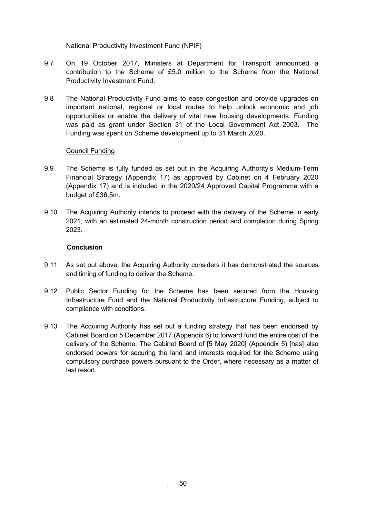# National Productivity Investment Fund (NPIF)

- 9.7 On 19 October 2017, Ministers at Department for Transport announced a contribution to the Scheme of £5.0 million to the Scheme from the National Productivity Investment Fund.
- 9.8 The National Productivity Fund aims to ease congestion and provide upgrades on important national, regional or local routes to help unlock economic and job opportunities or enable the delivery of vital new housing developments. Funding was paid as grant under Section 31 of the Local Government Act 2003. The Funding was spent on Scheme development up to 31 March 2020.

### Council Funding

- 9.9 The Scheme is fully funded as set out in the Acquiring Authority's Medium-Term Financial Strategy (Appendix 17) as approved by Cabinet on 4 February 2020 (Appendix 17) and is included in the 2020/24 Approved Capital Programme with a budget of £36.5m.
- 9.10 The Acquiring Authority intends to proceed with the delivery of the Scheme in early 2021, with an estimated 24-month construction period and completion during Spring 2023.

#### **Conclusion**

- 9.11 As set out above, the Acquiring Authority considers it has demonstrated the sources and timing of funding to deliver the Scheme.
- 9.12 Public Sector Funding for the Scheme has been secured from the Housing Infrastructure Fund and the National Productivity Infrastructure Funding, subject to compliance with conditions.
- 9.13 The Acquiring Authority has set out a funding strategy that has been endorsed by Cabinet Board on 5 December 2017 (Appendix 6) to forward fund the entire cost of the delivery of the Scheme. The Cabinet Board of [5 May 2020] (Appendix 5) [has] also endorsed powers for securing the land and interests required for the Scheme using compulsory purchase powers pursuant to the Order, where necessary as a matter of last resort.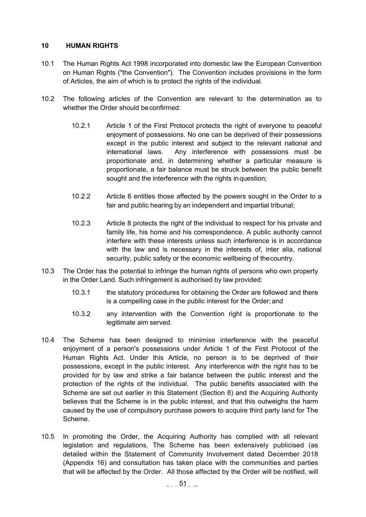# <span id="page-50-0"></span>**10 HUMAN RIGHTS**

- 10.1 The Human Rights Act 1998 incorporated into domestic law the European Convention on Human Rights ("the Convention"). The Convention includes provisions in the form of Articles, the aim of which is to protect the rights of the individual.
- 10.2 The following articles of the Convention are relevant to the determination as to whether the Order should beconfirmed:
	- 10.2.1 Article 1 of the First Protocol protects the right of everyone to peaceful enjoyment of possessions. No one can be deprived of their possessions except in the public interest and subject to the relevant national and international laws. Any interference with possessions must be proportionate and, in determining whether a particular measure is proportionate, a fair balance must be struck between the public benefit sought and the interference with the rights inquestion;
	- 10.2.2 Article 6 entitles those affected by the powers sought in the Order to a fair and public hearing by an independent and impartial tribunal;
	- 10.2.3 Article 8 protects the right of the individual to respect for his private and family life, his home and his correspondence. A public authority cannot interfere with these interests unless such interference is in accordance with the law and is necessary in the interests of, inter alia, national security, public safety or the economic wellbeing of thecountry.
- 10.3 The Order has the potential to infringe the human rights of persons who own property in the Order Land. Such infringement is authorised by law provided:
	- 10.3.1 the statutory procedures for obtaining the Order are followed and there is a compelling case in the public interest for the Order;and
	- 10.3.2 any intervention with the Convention right is proportionate to the legitimate aim served.
- 10.4 The Scheme has been designed to minimise interference with the peaceful enjoyment of a person's possessions under Article 1 of the First Protocol of the Human Rights Act. Under this Article, no person is to be deprived of their possessions, except in the public interest. Any interference with the right has to be provided for by law and strike a fair balance between the public interest and the protection of the rights of the individual. The public benefits associated with the Scheme are set out earlier in this Statement (Section 8) and the Acquiring Authority believes that the Scheme is in the public interest, and that this outweighs the harm caused by the use of compulsory purchase powers to acquire third party land for The Scheme.
- 10.5 In promoting the Order, the Acquiring Authority has complied with all relevant legislation and regulations. The Scheme has been extensively publicised (as detailed within the Statement of Community Involvement dated December 2018 (Appendix 16) and consultation has taken place with the communities and parties that will be affected by the Order. All those affected by the Order will be notified, will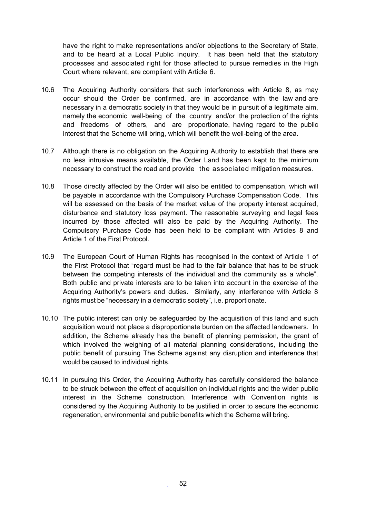have the right to make representations and/or objections to the Secretary of State, and to be heard at a Local Public Inquiry. It has been held that the statutory processes and associated right for those affected to pursue remedies in the High Court where relevant, are compliant with Article 6.

- 10.6 The Acquiring Authority considers that such interferences with Article 8, as may occur should the Order be confirmed, are in accordance with the law and are necessary in a democratic society in that they would be in pursuit of a legitimate aim, namely the economic well-being of the country and/or the protection of the rights and freedoms of others, and are proportionate, having regard to the public interest that the Scheme will bring, which will benefit the well-being of the area.
- 10.7 Although there is no obligation on the Acquiring Authority to establish that there are no less intrusive means available, the Order Land has been kept to the minimum necessary to construct the road and provide the associated mitigation measures.
- 10.8 Those directly affected by the Order will also be entitled to compensation, which will be payable in accordance with the Compulsory Purchase Compensation Code. This will be assessed on the basis of the market value of the property interest acquired, disturbance and statutory loss payment. The reasonable surveying and legal fees incurred by those affected will also be paid by the Acquiring Authority. The Compulsory Purchase Code has been held to be compliant with Articles 8 and Article 1 of the First Protocol.
- 10.9 The European Court of Human Rights has recognised in the context of Article 1 of the First Protocol that "regard must be had to the fair balance that has to be struck between the competing interests of the individual and the community as a whole". Both public and private interests are to be taken into account in the exercise of the Acquiring Authority's powers and duties. Similarly, any interference with Article 8 rights must be "necessary in a democratic society", i.e. proportionate.
- 10.10 The public interest can only be safeguarded by the acquisition of this land and such acquisition would not place a disproportionate burden on the affected landowners. In addition, the Scheme already has the benefit of planning permission, the grant of which involved the weighing of all material planning considerations, including the public benefit of pursuing The Scheme against any disruption and interference that would be caused to individual rights.
- 10.11 In pursuing this Order, the Acquiring Authority has carefully considered the balance to be struck between the effect of acquisition on individual rights and the wider public interest in the Scheme construction. Interference with Convention rights is considered by the Acquiring Authority to be justified in order to secure the economic regeneration, environmental and public benefits which the Scheme will bring.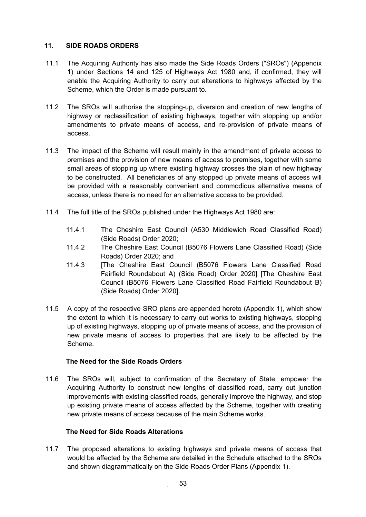# <span id="page-52-0"></span>**11. SIDE ROADS ORDERS**

- 11.1 The Acquiring Authority has also made the Side Roads Orders ("SROs") (Appendix 1) under Sections 14 and 125 of Highways Act 1980 and, if confirmed, they will enable the Acquiring Authority to carry out alterations to highways affected by the Scheme, which the Order is made pursuant to.
- 11.2 The SROs will authorise the stopping-up, diversion and creation of new lengths of highway or reclassification of existing highways, together with stopping up and/or amendments to private means of access, and re-provision of private means of access.
- 11.3 The impact of the Scheme will result mainly in the amendment of private access to premises and the provision of new means of access to premises, together with some small areas of stopping up where existing highway crosses the plain of new highway to be constructed. All beneficiaries of any stopped up private means of access will be provided with a reasonably convenient and commodious alternative means of access, unless there is no need for an alternative access to be provided.
- 11.4 The full title of the SROs published under the Highways Act 1980 are:
	- 11.4.1 The Cheshire East Council (A530 Middlewich Road Classified Road) (Side Roads) Order 2020;
	- 11.4.2 The Cheshire East Council (B5076 Flowers Lane Classified Road) (Side Roads) Order 2020; and
	- 11.4.3 [The Cheshire East Council (B5076 Flowers Lane Classified Road Fairfield Roundabout A) (Side Road) Order 2020] [The Cheshire East Council (B5076 Flowers Lane Classified Road Fairfield Roundabout B) (Side Roads) Order 2020].
- 11.5 A copy of the respective SRO plans are appended hereto (Appendix 1), which show the extent to which it is necessary to carry out works to existing highways, stopping up of existing highways, stopping up of private means of access, and the provision of new private means of access to properties that are likely to be affected by the Scheme.

#### **The Need for the Side Roads Orders**

11.6 The SROs will, subject to confirmation of the Secretary of State, empower the Acquiring Authority to construct new lengths of classified road, carry out junction improvements with existing classified roads, generally improve the highway, and stop up existing private means of access affected by the Scheme, together with creating new private means of access because of the main Scheme works.

#### **The Need for Side Roads Alterations**

11.7 The proposed alterations to existing highways and private means of access that would be affected by the Scheme are detailed in the Schedule attached to the SROs and shown diagrammatically on the Side Roads Order Plans (Appendix 1).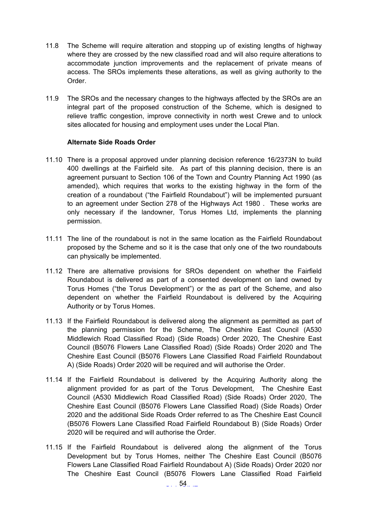- 11.8 The Scheme will require alteration and stopping up of existing lengths of highway where they are crossed by the new classified road and will also require alterations to accommodate junction improvements and the replacement of private means of access. The SROs implements these alterations, as well as giving authority to the Order.
- 11.9 The SROs and the necessary changes to the highways affected by the SROs are an integral part of the proposed construction of the Scheme, which is designed to relieve traffic congestion, improve connectivity in north west Crewe and to unlock sites allocated for housing and employment uses under the Local Plan.

#### **Alternate Side Roads Order**

- 11.10 There is a proposal approved under planning decision reference 16/2373N to build 400 dwellings at the Fairfield site. As part of this planning decision, there is an agreement pursuant to Section 106 of the Town and Country Planning Act 1990 (as amended), which requires that works to the existing highway in the form of the creation of a roundabout ("the Fairfield Roundabout") will be implemented pursuant to an agreement under Section 278 of the Highways Act 1980 . These works are only necessary if the landowner, Torus Homes Ltd, implements the planning permission.
- 11.11 The line of the roundabout is not in the same location as the Fairfield Roundabout proposed by the Scheme and so it is the case that only one of the two roundabouts can physically be implemented.
- 11.12 There are alternative provisions for SROs dependent on whether the Fairfield Roundabout is delivered as part of a consented development on land owned by Torus Homes ("the Torus Development") or the as part of the Scheme, and also dependent on whether the Fairfield Roundabout is delivered by the Acquiring Authority or by Torus Homes.
- 11.13 If the Fairfield Roundabout is delivered along the alignment as permitted as part of the planning permission for the Scheme, The Cheshire East Council (A530 Middlewich Road Classified Road) (Side Roads) Order 2020, The Cheshire East Council (B5076 Flowers Lane Classified Road) (Side Roads) Order 2020 and The Cheshire East Council (B5076 Flowers Lane Classified Road Fairfield Roundabout A) (Side Roads) Order 2020 will be required and will authorise the Order.
- 11.14 If the Fairfield Roundabout is delivered by the Acquiring Authority along the alignment provided for as part of the Torus Development, The Cheshire East Council (A530 Middlewich Road Classified Road) (Side Roads) Order 2020, The Cheshire East Council (B5076 Flowers Lane Classified Road) (Side Roads) Order 2020 and the additional Side Roads Order referred to as The Cheshire East Council (B5076 Flowers Lane Classified Road Fairfield Roundabout B) (Side Roads) Order 2020 will be required and will authorise the Order.
- 11.15 If the Fairfield Roundabout is delivered along the alignment of the Torus Development but by Torus Homes, neither The Cheshire East Council (B5076 Flowers Lane Classified Road Fairfield Roundabout A) (Side Roads) Order 2020 nor The Cheshire East Council (B5076 Flowers Lane Classified Road Fairfield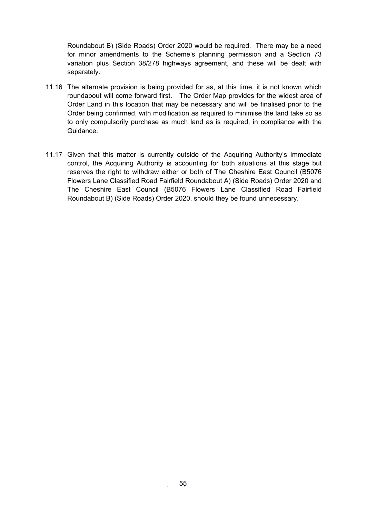Roundabout B) (Side Roads) Order 2020 would be required. There may be a need for minor amendments to the Scheme's planning permission and a Section 73 variation plus Section 38/278 highways agreement, and these will be dealt with separately.

- 11.16 The alternate provision is being provided for as, at this time, it is not known which roundabout will come forward first. The Order Map provides for the widest area of Order Land in this location that may be necessary and will be finalised prior to the Order being confirmed, with modification as required to minimise the land take so as to only compulsorily purchase as much land as is required, in compliance with the Guidance.
- 11.17 Given that this matter is currently outside of the Acquiring Authority's immediate control, the Acquiring Authority is accounting for both situations at this stage but reserves the right to withdraw either or both of The Cheshire East Council (B5076 Flowers Lane Classified Road Fairfield Roundabout A) (Side Roads) Order 2020 and The Cheshire East Council (B5076 Flowers Lane Classified Road Fairfield Roundabout B) (Side Roads) Order 2020, should they be found unnecessary.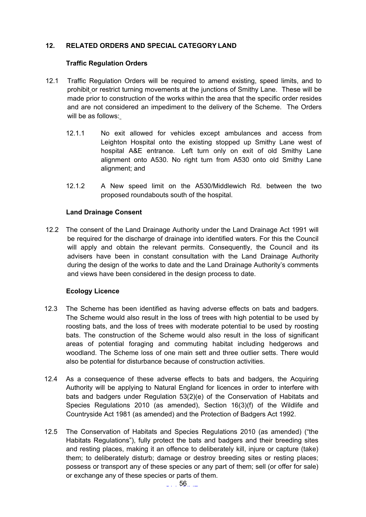# <span id="page-55-0"></span>**12. RELATED ORDERS AND SPECIAL CATEGORY LAND**

#### **Traffic Regulation Orders**

- 12.1 Traffic Regulation Orders will be required to amend existing, speed limits, and to prohibit or restrict turning movements at the junctions of Smithy Lane. These will be made prior to construction of the works within the area that the specific order resides and are not considered an impediment to the delivery of the Scheme. The Orders will be as follows:
	- 12.1.1 No exit allowed for vehicles except ambulances and access from Leighton Hospital onto the existing stopped up Smithy Lane west of hospital A&E entrance. Left turn only on exit of old Smithy Lane alignment onto A530. No right turn from A530 onto old Smithy Lane alignment; and
	- 12.1.2 A New speed limit on the A530/Middlewich Rd. between the two proposed roundabouts south of the hospital.

### **Land Drainage Consent**

12.2 The consent of the Land Drainage Authority under the Land Drainage Act 1991 will be required for the discharge of drainage into identified waters. For this the Council will apply and obtain the relevant permits. Consequently, the Council and its advisers have been in constant consultation with the Land Drainage Authority during the design of the works to date and the Land Drainage Authority's comments and views have been considered in the design process to date.

#### **Ecology Licence**

- 12.3 The Scheme has been identified as having adverse effects on bats and badgers. The Scheme would also result in the loss of trees with high potential to be used by roosting bats, and the loss of trees with moderate potential to be used by roosting bats. The construction of the Scheme would also result in the loss of significant areas of potential foraging and commuting habitat including hedgerows and woodland. The Scheme loss of one main sett and three outlier setts. There would also be potential for disturbance because of construction activities.
- 12.4 As a consequence of these adverse effects to bats and badgers, the Acquiring Authority will be applying to Natural England for licences in order to interfere with bats and badgers under Regulation 53(2)(e) of the Conservation of Habitats and Species Regulations 2010 (as amended), Section 16(3)(f) of the Wildlife and Countryside Act 1981 (as amended) and the Protection of Badgers Act 1992.
- 12.5 The Conservation of Habitats and Species Regulations 2010 (as amended) ("the Habitats Regulations"), fully protect the bats and badgers and their breeding sites and resting places, making it an offence to deliberately kill, injure or capture (take) them; to deliberately disturb; damage or destroy breeding sites or resting places; possess or transport any of these species or any part of them; sell (or offer for sale) or exchange any of these species or parts of them.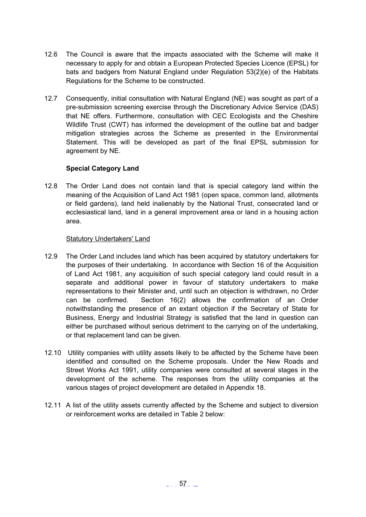- 12.6 The Council is aware that the impacts associated with the Scheme will make it necessary to apply for and obtain a European Protected Species Licence (EPSL) for bats and badgers from Natural England under Regulation 53(2)(e) of the Habitats Regulations for the Scheme to be constructed.
- 12.7 Consequently, initial consultation with Natural England (NE) was sought as part of a pre-submission screening exercise through the Discretionary Advice Service (DAS) that NE offers. Furthermore, consultation with CEC Ecologists and the Cheshire Wildlife Trust (CWT) has informed the development of the outline bat and badger mitigation strategies across the Scheme as presented in the Environmental Statement. This will be developed as part of the final EPSL submission for agreement by NE.

# **Special Category Land**

12.8 The Order Land does not contain land that is special category land within the meaning of the Acquisition of Land Act 1981 (open space, common land, allotments or field gardens), land held inalienably by the National Trust, consecrated land or ecclesiastical land, land in a general improvement area or land in a housing action area.

#### Statutory Undertakers' Land

- 12.9 The Order Land includes land which has been acquired by statutory undertakers for the purposes of their undertaking. In accordance with Section 16 of the Acquisition of Land Act 1981, any acquisition of such special category land could result in a separate and additional power in favour of statutory undertakers to make representations to their Minister and, until such an objection is withdrawn, no Order can be confirmed. Section 16(2) allows the confirmation of an Order notwithstanding the presence of an extant objection if the Secretary of State for Business, Energy and Industrial Strategy is satisfied that the land in question can either be purchased without serious detriment to the carrying on of the undertaking, or that replacement land can be given.
- 12.10 Utility companies with utility assets likely to be affected by the Scheme have been identified and consulted on the Scheme proposals. Under the New Roads and Street Works Act 1991, utility companies were consulted at several stages in the development of the scheme. The responses from the utility companies at the various stages of project development are detailed in Appendix 18.
- 12.11 A list of the utility assets currently affected by the Scheme and subject to diversion or reinforcement works are detailed in Table 2 below: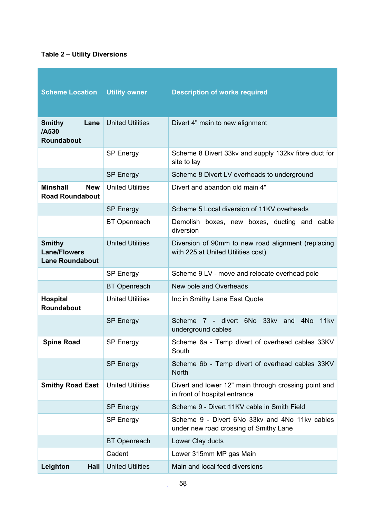# **Table 2 – Utility Diversions**

| <b>Scheme Location</b>                                         | <b>Utility owner</b>    | <b>Description of works required</b>                                                     |
|----------------------------------------------------------------|-------------------------|------------------------------------------------------------------------------------------|
| Lane<br><b>Smithy</b><br>/A530<br><b>Roundabout</b>            | <b>United Utilities</b> | Divert 4" main to new alignment                                                          |
|                                                                | <b>SP Energy</b>        | Scheme 8 Divert 33kv and supply 132kv fibre duct for<br>site to lay                      |
|                                                                | <b>SP Energy</b>        | Scheme 8 Divert LV overheads to underground                                              |
| <b>Minshall</b><br><b>New</b><br><b>Road Roundabout</b>        | <b>United Utilities</b> | Divert and abandon old main 4"                                                           |
|                                                                | <b>SP Energy</b>        | Scheme 5 Local diversion of 11KV overheads                                               |
|                                                                | <b>BT</b> Openreach     | Demolish boxes, new boxes, ducting and cable<br>diversion                                |
| <b>Smithy</b><br><b>Lane/Flowers</b><br><b>Lane Roundabout</b> | <b>United Utilities</b> | Diversion of 90mm to new road alignment (replacing<br>with 225 at United Utilities cost) |
|                                                                | <b>SP Energy</b>        | Scheme 9 LV - move and relocate overhead pole                                            |
|                                                                | <b>BT</b> Openreach     | New pole and Overheads                                                                   |
| <b>Hospital</b><br>Roundabout                                  | <b>United Utilities</b> | Inc in Smithy Lane East Quote                                                            |
|                                                                | <b>SP Energy</b>        | 7 - divert 6No 33kv and<br>4N <sub>o</sub><br>Scheme<br>11kv<br>underground cables       |
| <b>Spine Road</b>                                              | <b>SP Energy</b>        | Scheme 6a - Temp divert of overhead cables 33KV<br>South                                 |
|                                                                | <b>SP Energy</b>        | Scheme 6b - Temp divert of overhead cables 33KV<br><b>North</b>                          |
| <b>Smithy Road East</b>                                        | <b>United Utilities</b> | Divert and lower 12" main through crossing point and<br>in front of hospital entrance    |
|                                                                | <b>SP Energy</b>        | Scheme 9 - Divert 11KV cable in Smith Field                                              |
|                                                                | <b>SP Energy</b>        | Scheme 9 - Divert 6No 33kv and 4No 11kv cables<br>under new road crossing of Smithy Lane |
|                                                                | <b>BT</b> Openreach     | Lower Clay ducts                                                                         |
|                                                                | Cadent                  | Lower 315mm MP gas Main                                                                  |
| Leighton<br>Hall                                               | <b>United Utilities</b> | Main and local feed diversions                                                           |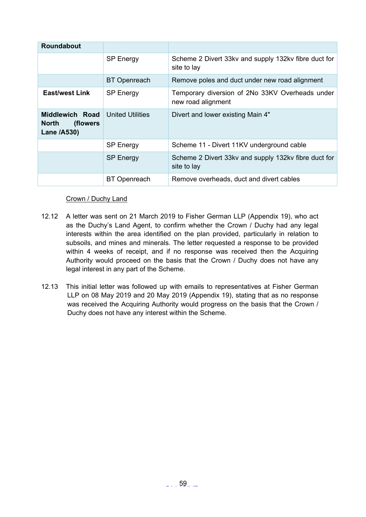| Roundabout                                           |                         |                                                                       |
|------------------------------------------------------|-------------------------|-----------------------------------------------------------------------|
|                                                      | <b>SP Energy</b>        | Scheme 2 Divert 33kv and supply 132kv fibre duct for<br>site to lay   |
|                                                      | <b>BT</b> Openreach     | Remove poles and duct under new road alignment                        |
| <b>East/west Link</b>                                | <b>SP Energy</b>        | Temporary diversion of 2No 33KV Overheads under<br>new road alignment |
| Middlewich Road<br>North<br>(flowers)<br>Lane /A530) | <b>United Utilities</b> | Divert and lower existing Main 4"                                     |
|                                                      | <b>SP Energy</b>        | Scheme 11 - Divert 11KV underground cable                             |
|                                                      | <b>SP Energy</b>        | Scheme 2 Divert 33kv and supply 132kv fibre duct for<br>site to lay   |
|                                                      | <b>BT</b> Openreach     | Remove overheads, duct and divert cables                              |

# Crown / Duchy Land

- 12.12 A letter was sent on 21 March 2019 to Fisher German LLP (Appendix 19), who act as the Duchy's Land Agent, to confirm whether the Crown / Duchy had any legal interests within the area identified on the plan provided, particularly in relation to subsoils, and mines and minerals. The letter requested a response to be provided within 4 weeks of receipt, and if no response was received then the Acquiring Authority would proceed on the basis that the Crown / Duchy does not have any legal interest in any part of the Scheme.
- 12.13 This initial letter was followed up with emails to representatives at Fisher German LLP on 08 May 2019 and 20 May 2019 (Appendix 19), stating that as no response was received the Acquiring Authority would progress on the basis that the Crown / Duchy does not have any interest within the Scheme.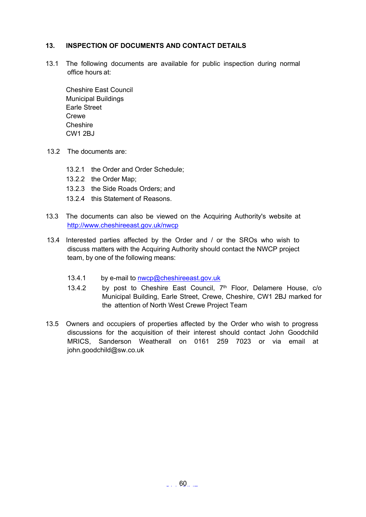# <span id="page-59-0"></span>**13. INSPECTION OF DOCUMENTS AND CONTACT DETAILS**

13.1 The following documents are available for public inspection during normal office hours at:

Cheshire East Council Municipal Buildings Earle Street **Crewe Cheshire** CW1 2BJ

- 13.2 The documents are:
	- 13.2.1 the Order and Order Schedule;
	- 13.2.2 the Order Map;
	- 13.2.3 the Side Roads Orders; and
	- 13.2.4 this Statement of Reasons.
- 13.3 The documents can also be viewed on the Acquiring Authority's website at <http://www.cheshireeast.gov.uk/nwcp>
- 13.4 Interested parties affected by the Order and / or the SROs who wish to discuss matters with the Acquiring Authority should contact the NWCP project team, by one of the following means:
	- 13.4.1 by e-mail to [nwcp@cheshireeast.gov.uk](mailto:nwcp@cheshireeast.gov.uk)
	- 13.4.2 by post to Cheshire East Council, 7<sup>th</sup> Floor, Delamere House, c/o Municipal Building, Earle Street, Crewe, Cheshire, CW1 2BJ marked for the attention of North West Crewe Project Team
- 13.5 Owners and occupiers of properties affected by the Order who wish to progress discussions for the acquisition of their interest should contact John Goodchild MRICS, Sanderson Weatherall on 0161 259 7023 or via email at john.goodchild@sw.co.uk